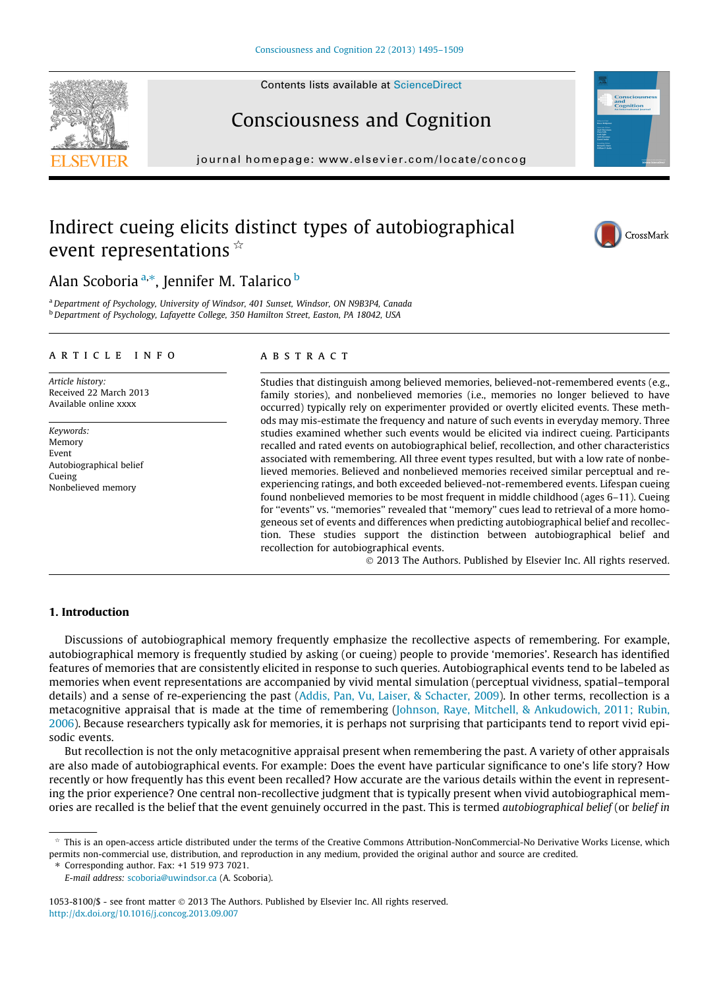Contents lists available at [ScienceDirect](http://www.sciencedirect.com/science/journal/10538100)





# Consciousness and Cognition

journal homepage: [www.elsevier.com/locate/concog](http://www.elsevier.com/locate/concog)

# Indirect cueing elicits distinct types of autobiographical event representations  $\dot{\mathbf{x}}$



# Alan Scoboria <sup>a,</sup>\*, Jennifer M. Talarico <sup>b</sup>

a Department of Psychology, University of Windsor, 401 Sunset, Windsor, ON N9B3P4, Canada b Department of Psychology, Lafayette College, 350 Hamilton Street, Easton, PA 18042, USA

#### article info

Article history: Received 22 March 2013 Available online xxxx

Keywords: Memory Event Autobiographical belief Cueing Nonbelieved memory

#### **ABSTRACT**

Studies that distinguish among believed memories, believed-not-remembered events (e.g., family stories), and nonbelieved memories (i.e., memories no longer believed to have occurred) typically rely on experimenter provided or overtly elicited events. These methods may mis-estimate the frequency and nature of such events in everyday memory. Three studies examined whether such events would be elicited via indirect cueing. Participants recalled and rated events on autobiographical belief, recollection, and other characteristics associated with remembering. All three event types resulted, but with a low rate of nonbelieved memories. Believed and nonbelieved memories received similar perceptual and reexperiencing ratings, and both exceeded believed-not-remembered events. Lifespan cueing found nonbelieved memories to be most frequent in middle childhood (ages 6–11). Cueing for "events" vs. "memories" revealed that "memory" cues lead to retrieval of a more homogeneous set of events and differences when predicting autobiographical belief and recollection. These studies support the distinction between autobiographical belief and recollection for autobiographical events.

- 2013 The Authors. Published by Elsevier Inc. All rights reserved.

# 1. Introduction

Discussions of autobiographical memory frequently emphasize the recollective aspects of remembering. For example, autobiographical memory is frequently studied by asking (or cueing) people to provide 'memories'. Research has identified features of memories that are consistently elicited in response to such queries. Autobiographical events tend to be labeled as memories when event representations are accompanied by vivid mental simulation (perceptual vividness, spatial–temporal details) and a sense of re-experiencing the past ([Addis, Pan, Vu, Laiser, & Schacter, 2009](#page-13-0)). In other terms, recollection is a metacognitive appraisal that is made at the time of remembering ([Johnson, Raye, Mitchell, & Ankudowich, 2011; Rubin,](#page-14-0) [2006\)](#page-14-0). Because researchers typically ask for memories, it is perhaps not surprising that participants tend to report vivid episodic events.

But recollection is not the only metacognitive appraisal present when remembering the past. A variety of other appraisals are also made of autobiographical events. For example: Does the event have particular significance to one's life story? How recently or how frequently has this event been recalled? How accurate are the various details within the event in representing the prior experience? One central non-recollective judgment that is typically present when vivid autobiographical memories are recalled is the belief that the event genuinely occurred in the past. This is termed autobiographical belief (or belief in

⇑ Corresponding author. Fax: +1 519 973 7021. E-mail address: [scoboria@uwindsor.ca](mailto:scoboria@uwindsor.ca) (A. Scoboria).

 $*$  This is an open-access article distributed under the terms of the Creative Commons Attribution-NonCommercial-No Derivative Works License, which permits non-commercial use, distribution, and reproduction in any medium, provided the original author and source are credited.

<sup>1053-8100/\$ -</sup> see front matter  $\circledcirc$  2013 The Authors. Published by Elsevier Inc. All rights reserved. <http://dx.doi.org/10.1016/j.concog.2013.09.007>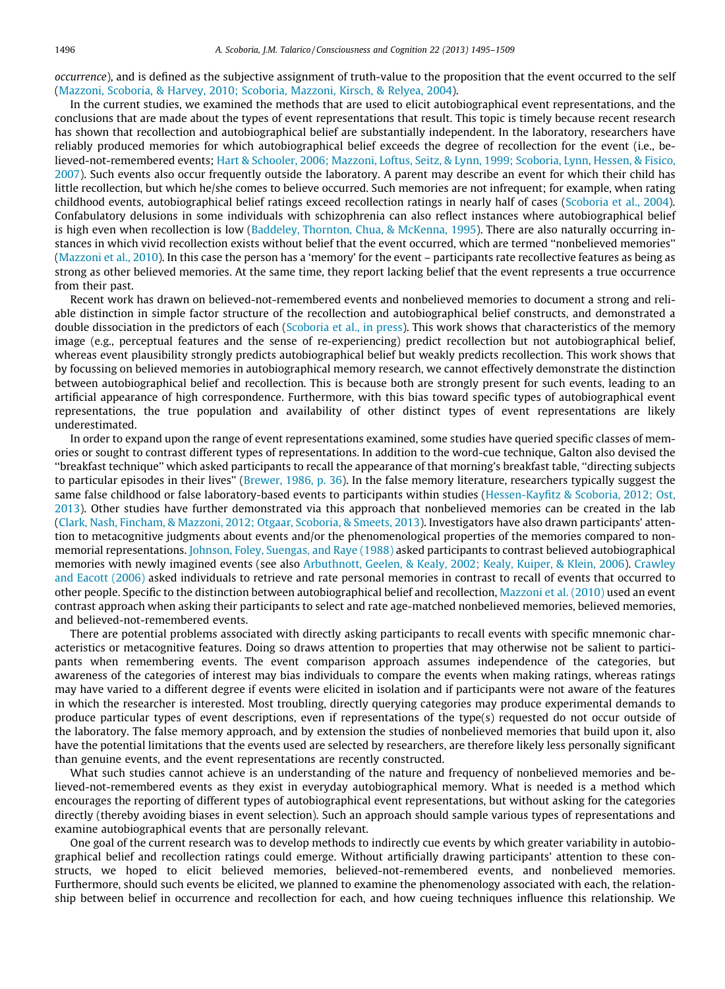occurrence), and is defined as the subjective assignment of truth-value to the proposition that the event occurred to the self [\(Mazzoni, Scoboria, & Harvey, 2010; Scoboria, Mazzoni, Kirsch, & Relyea, 2004\)](#page-14-0).

In the current studies, we examined the methods that are used to elicit autobiographical event representations, and the conclusions that are made about the types of event representations that result. This topic is timely because recent research has shown that recollection and autobiographical belief are substantially independent. In the laboratory, researchers have reliably produced memories for which autobiographical belief exceeds the degree of recollection for the event (i.e., believed-not-remembered events; [Hart & Schooler, 2006; Mazzoni, Loftus, Seitz, & Lynn, 1999; Scoboria, Lynn, Hessen, & Fisico,](#page-14-0) [2007](#page-14-0)). Such events also occur frequently outside the laboratory. A parent may describe an event for which their child has little recollection, but which he/she comes to believe occurred. Such memories are not infrequent; for example, when rating childhood events, autobiographical belief ratings exceed recollection ratings in nearly half of cases ([Scoboria et al., 2004](#page-14-0)). Confabulatory delusions in some individuals with schizophrenia can also reflect instances where autobiographical belief is high even when recollection is low ([Baddeley, Thornton, Chua, & McKenna, 1995\)](#page-13-0). There are also naturally occurring instances in which vivid recollection exists without belief that the event occurred, which are termed ''nonbelieved memories'' [\(Mazzoni et al., 2010\)](#page-14-0). In this case the person has a 'memory' for the event – participants rate recollective features as being as strong as other believed memories. At the same time, they report lacking belief that the event represents a true occurrence from their past.

Recent work has drawn on believed-not-remembered events and nonbelieved memories to document a strong and reliable distinction in simple factor structure of the recollection and autobiographical belief constructs, and demonstrated a double dissociation in the predictors of each [\(Scoboria et al., in press](#page-14-0)). This work shows that characteristics of the memory image (e.g., perceptual features and the sense of re-experiencing) predict recollection but not autobiographical belief, whereas event plausibility strongly predicts autobiographical belief but weakly predicts recollection. This work shows that by focussing on believed memories in autobiographical memory research, we cannot effectively demonstrate the distinction between autobiographical belief and recollection. This is because both are strongly present for such events, leading to an artificial appearance of high correspondence. Furthermore, with this bias toward specific types of autobiographical event representations, the true population and availability of other distinct types of event representations are likely underestimated.

In order to expand upon the range of event representations examined, some studies have queried specific classes of memories or sought to contrast different types of representations. In addition to the word-cue technique, Galton also devised the ''breakfast technique'' which asked participants to recall the appearance of that morning's breakfast table, ''directing subjects to particular episodes in their lives'' [\(Brewer, 1986, p. 36\)](#page-13-0). In the false memory literature, researchers typically suggest the same false childhood or false laboratory-based events to participants within studies ([Hessen-Kayfitz & Scoboria, 2012; Ost,](#page-14-0) [2013](#page-14-0)). Other studies have further demonstrated via this approach that nonbelieved memories can be created in the lab [\(Clark, Nash, Fincham, & Mazzoni, 2012; Otgaar, Scoboria, & Smeets, 2013](#page-13-0)). Investigators have also drawn participants' attention to metacognitive judgments about events and/or the phenomenological properties of the memories compared to nonmemorial representations. [Johnson, Foley, Suengas, and Raye \(1988\)](#page-14-0) asked participants to contrast believed autobiographical memories with newly imagined events (see also [Arbuthnott, Geelen, & Kealy, 2002; Kealy, Kuiper, & Klein, 2006](#page-13-0)). [Crawley](#page-13-0) [and Eacott \(2006\)](#page-13-0) asked individuals to retrieve and rate personal memories in contrast to recall of events that occurred to other people. Specific to the distinction between autobiographical belief and recollection, [Mazzoni et al. \(2010\)](#page-14-0) used an event contrast approach when asking their participants to select and rate age-matched nonbelieved memories, believed memories, and believed-not-remembered events.

There are potential problems associated with directly asking participants to recall events with specific mnemonic characteristics or metacognitive features. Doing so draws attention to properties that may otherwise not be salient to participants when remembering events. The event comparison approach assumes independence of the categories, but awareness of the categories of interest may bias individuals to compare the events when making ratings, whereas ratings may have varied to a different degree if events were elicited in isolation and if participants were not aware of the features in which the researcher is interested. Most troubling, directly querying categories may produce experimental demands to produce particular types of event descriptions, even if representations of the type(s) requested do not occur outside of the laboratory. The false memory approach, and by extension the studies of nonbelieved memories that build upon it, also have the potential limitations that the events used are selected by researchers, are therefore likely less personally significant than genuine events, and the event representations are recently constructed.

What such studies cannot achieve is an understanding of the nature and frequency of nonbelieved memories and believed-not-remembered events as they exist in everyday autobiographical memory. What is needed is a method which encourages the reporting of different types of autobiographical event representations, but without asking for the categories directly (thereby avoiding biases in event selection). Such an approach should sample various types of representations and examine autobiographical events that are personally relevant.

One goal of the current research was to develop methods to indirectly cue events by which greater variability in autobiographical belief and recollection ratings could emerge. Without artificially drawing participants' attention to these constructs, we hoped to elicit believed memories, believed-not-remembered events, and nonbelieved memories. Furthermore, should such events be elicited, we planned to examine the phenomenology associated with each, the relationship between belief in occurrence and recollection for each, and how cueing techniques influence this relationship. We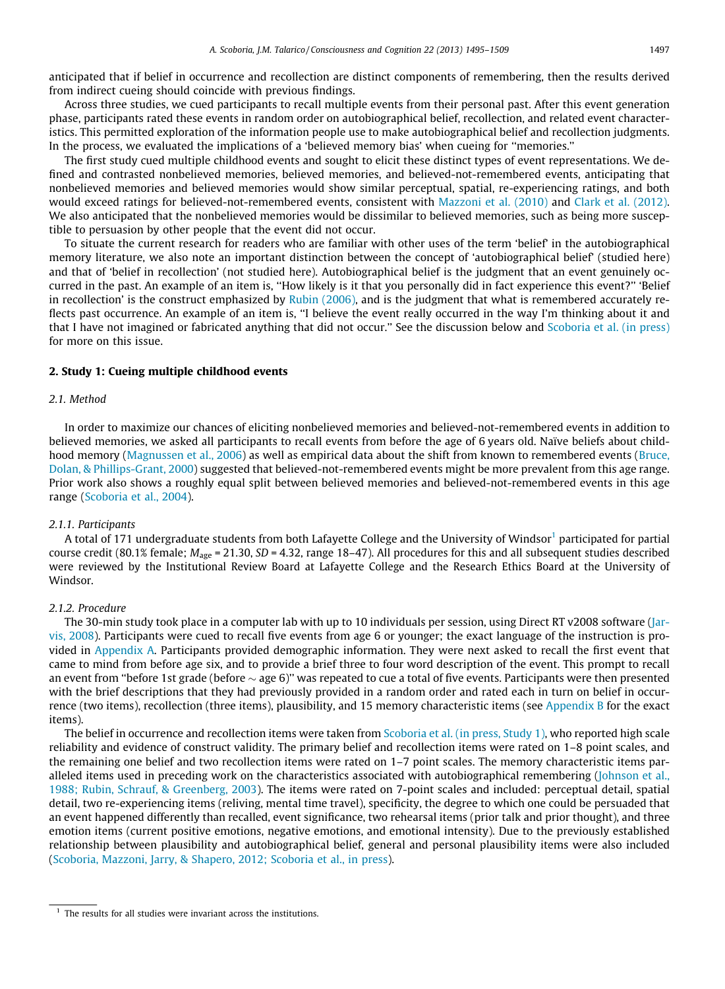anticipated that if belief in occurrence and recollection are distinct components of remembering, then the results derived from indirect cueing should coincide with previous findings.

Across three studies, we cued participants to recall multiple events from their personal past. After this event generation phase, participants rated these events in random order on autobiographical belief, recollection, and related event characteristics. This permitted exploration of the information people use to make autobiographical belief and recollection judgments. In the process, we evaluated the implications of a 'believed memory bias' when cueing for ''memories.''

The first study cued multiple childhood events and sought to elicit these distinct types of event representations. We defined and contrasted nonbelieved memories, believed memories, and believed-not-remembered events, anticipating that nonbelieved memories and believed memories would show similar perceptual, spatial, re-experiencing ratings, and both would exceed ratings for believed-not-remembered events, consistent with [Mazzoni et al. \(2010\)](#page-14-0) and [Clark et al. \(2012\)](#page-13-0). We also anticipated that the nonbelieved memories would be dissimilar to believed memories, such as being more susceptible to persuasion by other people that the event did not occur.

To situate the current research for readers who are familiar with other uses of the term 'belief' in the autobiographical memory literature, we also note an important distinction between the concept of 'autobiographical belief' (studied here) and that of 'belief in recollection' (not studied here). Autobiographical belief is the judgment that an event genuinely occurred in the past. An example of an item is, ''How likely is it that you personally did in fact experience this event?'' 'Belief in recollection' is the construct emphasized by [Rubin \(2006\),](#page-14-0) and is the judgment that what is remembered accurately reflects past occurrence. An example of an item is, ''I believe the event really occurred in the way I'm thinking about it and that I have not imagined or fabricated anything that did not occur.'' See the discussion below and [Scoboria et al. \(in press\)](#page-14-0) for more on this issue.

#### 2. Study 1: Cueing multiple childhood events

#### 2.1. Method

In order to maximize our chances of eliciting nonbelieved memories and believed-not-remembered events in addition to believed memories, we asked all participants to recall events from before the age of 6 years old. Naïve beliefs about childhood memory [\(Magnussen et al., 2006\)](#page-14-0) as well as empirical data about the shift from known to remembered events ([Bruce,](#page-13-0) [Dolan, & Phillips-Grant, 2000](#page-13-0)) suggested that believed-not-remembered events might be more prevalent from this age range. Prior work also shows a roughly equal split between believed memories and believed-not-remembered events in this age range ([Scoboria et al., 2004\)](#page-14-0).

#### 2.1.1. Participants

A total of 171 undergraduate students from both Lafayette College and the University of Windsor<sup>1</sup> participated for partial course credit (80.1% female;  $M_{\text{age}} = 21.30$ ,  $SD = 4.32$ , range 18–47). All procedures for this and all subsequent studies described were reviewed by the Institutional Review Board at Lafayette College and the Research Ethics Board at the University of Windsor.

#### 2.1.2. Procedure

The 30-min study took place in a computer lab with up to 10 individuals per session, using Direct RT v2008 software ([Jar](#page-14-0)[vis, 2008\)](#page-14-0). Participants were cued to recall five events from age 6 or younger; the exact language of the instruction is provided in [Appendix A.](#page-12-0) Participants provided demographic information. They were next asked to recall the first event that came to mind from before age six, and to provide a brief three to four word description of the event. This prompt to recall an event from "before 1st grade (before  $\sim$  age 6)" was repeated to cue a total of five events. Participants were then presented with the brief descriptions that they had previously provided in a random order and rated each in turn on belief in occurrence (two items), recollection (three items), plausibility, and 15 memory characteristic items (see [Appendix B](#page-12-0) for the exact items).

The belief in occurrence and recollection items were taken from [Scoboria et al. \(in press, Study 1\)](#page-14-0), who reported high scale reliability and evidence of construct validity. The primary belief and recollection items were rated on 1–8 point scales, and the remaining one belief and two recollection items were rated on 1–7 point scales. The memory characteristic items par-alleled items used in preceding work on the characteristics associated with autobiographical remembering ([Johnson et al.,](#page-14-0) [1988; Rubin, Schrauf, & Greenberg, 2003\)](#page-14-0). The items were rated on 7-point scales and included: perceptual detail, spatial detail, two re-experiencing items (reliving, mental time travel), specificity, the degree to which one could be persuaded that an event happened differently than recalled, event significance, two rehearsal items (prior talk and prior thought), and three emotion items (current positive emotions, negative emotions, and emotional intensity). Due to the previously established relationship between plausibility and autobiographical belief, general and personal plausibility items were also included ([Scoboria, Mazzoni, Jarry, & Shapero, 2012; Scoboria et al., in press](#page-14-0)).

 $1$  The results for all studies were invariant across the institutions.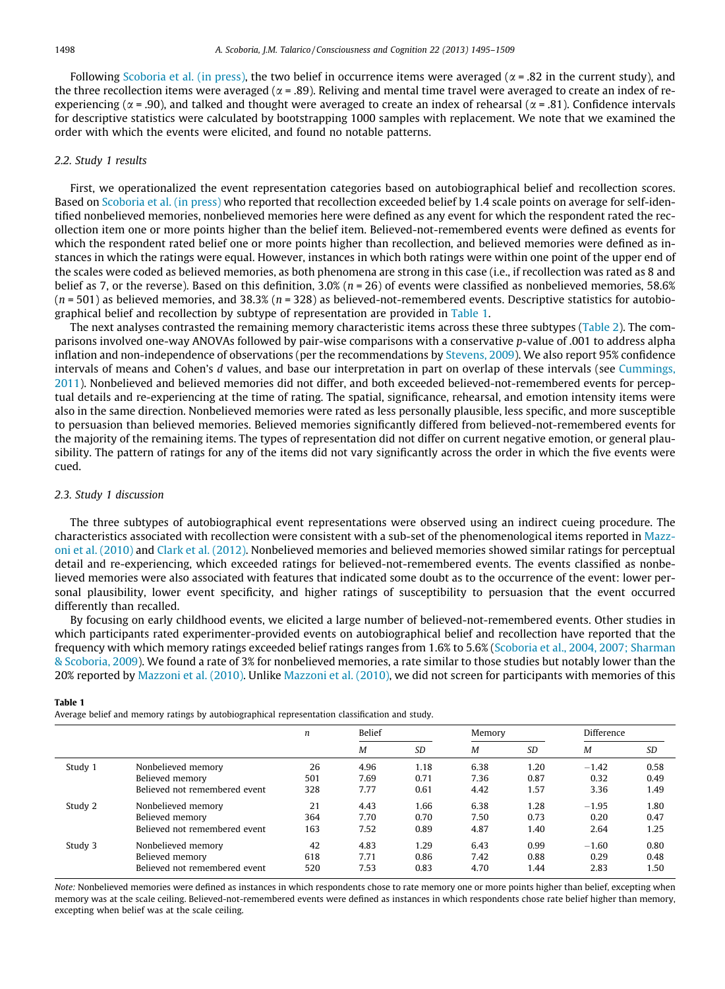<span id="page-3-0"></span>Following [Scoboria et al. \(in press\)](#page-14-0), the two belief in occurrence items were averaged ( $\alpha$  = .82 in the current study), and the three recollection items were averaged ( $\alpha$  = .89). Reliving and mental time travel were averaged to create an index of reexperiencing ( $\alpha$  = .90), and talked and thought were averaged to create an index of rehearsal ( $\alpha$  = .81). Confidence intervals for descriptive statistics were calculated by bootstrapping 1000 samples with replacement. We note that we examined the order with which the events were elicited, and found no notable patterns.

#### 2.2. Study 1 results

First, we operationalized the event representation categories based on autobiographical belief and recollection scores. Based on [Scoboria et al. \(in press\)](#page-14-0) who reported that recollection exceeded belief by 1.4 scale points on average for self-identified nonbelieved memories, nonbelieved memories here were defined as any event for which the respondent rated the recollection item one or more points higher than the belief item. Believed-not-remembered events were defined as events for which the respondent rated belief one or more points higher than recollection, and believed memories were defined as instances in which the ratings were equal. However, instances in which both ratings were within one point of the upper end of the scales were coded as believed memories, as both phenomena are strong in this case (i.e., if recollection was rated as 8 and belief as 7, or the reverse). Based on this definition,  $3.0\%$  ( $n = 26$ ) of events were classified as nonbelieved memories, 58.6%  $(n = 501)$  as believed memories, and 38.3%  $(n = 328)$  as believed-not-remembered events. Descriptive statistics for autobiographical belief and recollection by subtype of representation are provided in Table 1.

The next analyses contrasted the remaining memory characteristic items across these three subtypes ([Table 2\)](#page-4-0). The comparisons involved one-way ANOVAs followed by pair-wise comparisons with a conservative p-value of .001 to address alpha inflation and non-independence of observations (per the recommendations by [Stevens, 2009](#page-14-0)). We also report 95% confidence intervals of means and Cohen's d values, and base our interpretation in part on overlap of these intervals (see [Cummings,](#page-13-0) [2011](#page-13-0)). Nonbelieved and believed memories did not differ, and both exceeded believed-not-remembered events for perceptual details and re-experiencing at the time of rating. The spatial, significance, rehearsal, and emotion intensity items were also in the same direction. Nonbelieved memories were rated as less personally plausible, less specific, and more susceptible to persuasion than believed memories. Believed memories significantly differed from believed-not-remembered events for the majority of the remaining items. The types of representation did not differ on current negative emotion, or general plausibility. The pattern of ratings for any of the items did not vary significantly across the order in which the five events were cued.

#### 2.3. Study 1 discussion

The three subtypes of autobiographical event representations were observed using an indirect cueing procedure. The characteristics associated with recollection were consistent with a sub-set of the phenomenological items reported in [Mazz](#page-14-0)[oni et al. \(2010\)](#page-14-0) and [Clark et al. \(2012\).](#page-13-0) Nonbelieved memories and believed memories showed similar ratings for perceptual detail and re-experiencing, which exceeded ratings for believed-not-remembered events. The events classified as nonbelieved memories were also associated with features that indicated some doubt as to the occurrence of the event: lower personal plausibility, lower event specificity, and higher ratings of susceptibility to persuasion that the event occurred differently than recalled.

By focusing on early childhood events, we elicited a large number of believed-not-remembered events. Other studies in which participants rated experimenter-provided events on autobiographical belief and recollection have reported that the frequency with which memory ratings exceeded belief ratings ranges from 1.6% to 5.6% ([Scoboria et al., 2004, 2007; Sharman](#page-14-0) [& Scoboria, 2009\)](#page-14-0). We found a rate of 3% for nonbelieved memories, a rate similar to those studies but notably lower than the 20% reported by [Mazzoni et al. \(2010\).](#page-14-0) Unlike [Mazzoni et al. \(2010\)](#page-14-0), we did not screen for participants with memories of this

#### Table 1

Average belief and memory ratings by autobiographical representation classification and study.

|         |                               | n   | Belief |           | Memory |           | Difference |      |
|---------|-------------------------------|-----|--------|-----------|--------|-----------|------------|------|
|         |                               |     | M      | <b>SD</b> | M      | <b>SD</b> | M          | SD   |
| Study 1 | Nonbelieved memory            | 26  | 4.96   | 1.18      | 6.38   | 1.20      | $-1.42$    | 0.58 |
|         | Believed memory               | 501 | 7.69   | 0.71      | 7.36   | 0.87      | 0.32       | 0.49 |
|         | Believed not remembered event | 328 | 7.77   | 0.61      | 4.42   | 1.57      | 3.36       | 1.49 |
| Study 2 | Nonbelieved memory            | 21  | 4.43   | 1.66      | 6.38   | 1.28      | $-1.95$    | 1.80 |
|         | Believed memory               | 364 | 7.70   | 0.70      | 7.50   | 0.73      | 0.20       | 0.47 |
|         | Believed not remembered event | 163 | 7.52   | 0.89      | 4.87   | 1.40      | 2.64       | 1.25 |
| Study 3 | Nonbelieved memory            | 42  | 4.83   | 1.29      | 6.43   | 0.99      | $-1.60$    | 0.80 |
|         | Believed memory               | 618 | 7.71   | 0.86      | 7.42   | 0.88      | 0.29       | 0.48 |
|         | Believed not remembered event | 520 | 7.53   | 0.83      | 4.70   | 1.44      | 2.83       | 1.50 |

Note: Nonbelieved memories were defined as instances in which respondents chose to rate memory one or more points higher than belief, excepting when memory was at the scale ceiling. Believed-not-remembered events were defined as instances in which respondents chose rate belief higher than memory, excepting when belief was at the scale ceiling.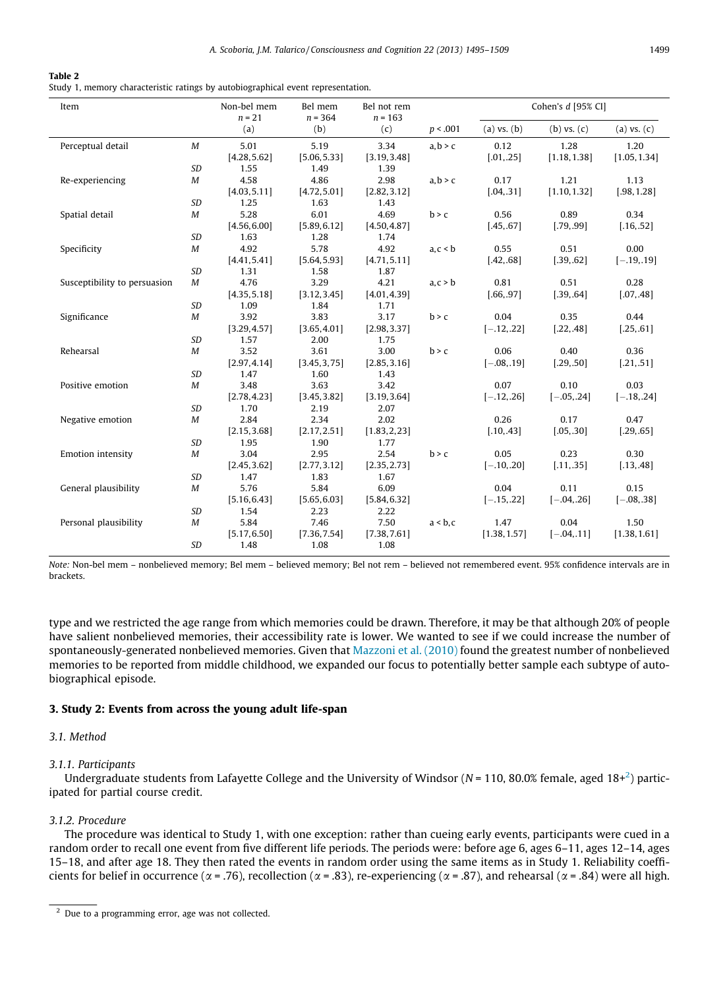#### <span id="page-4-0"></span>Table 2

Study 1, memory characteristic ratings by autobiographical event representation.

| Item                         |             | Non-bel mem<br>$n = 21$ | Bel mem<br>$n = 364$ | Bel not rem<br>$n = 163$ |          |                 | Cohen's d [95% CI] |                 |
|------------------------------|-------------|-------------------------|----------------------|--------------------------|----------|-----------------|--------------------|-----------------|
|                              |             | (a)                     | (b)                  | (c)                      | p < .001 | $(a)$ vs. $(b)$ | $(b)$ vs. $(c)$    | $(a)$ vs. $(c)$ |
| Perceptual detail            | $M_{\odot}$ | 5.01                    | 5.19                 | 3.34                     | a, b > c | 0.12            | 1.28               | 1.20            |
|                              |             | [4.28, 5.62]            | [5.06, 5.33]         | [3.19, 3.48]             |          | [.01, .25]      | [1.18, 1.38]       | [1.05, 1.34]    |
|                              | <b>SD</b>   | 1.55                    | 1.49                 | 1.39                     |          |                 |                    |                 |
| Re-experiencing              | $\cal M$    | 4.58                    | 4.86                 | 2.98                     | a, b > c | 0.17            | 1.21               | 1.13            |
|                              |             | [4.03, 5.11]            | [4.72, 5.01]         | [2.82, 3.12]             |          | [.04, .31]      | [1.10, 1.32]       | [.98, 1.28]     |
|                              | <b>SD</b>   | 1.25                    | 1.63                 | 1.43                     |          |                 |                    |                 |
| Spatial detail               | $\cal M$    | 5.28                    | 6.01                 | 4.69                     | b > c    | 0.56            | 0.89               | 0.34            |
|                              |             | [4.56, 6.00]            | [5.89, 6.12]         | [4.50, 4.87]             |          | [.45, .67]      | [.79, .99]         | [.16, .52]      |
|                              | <b>SD</b>   | 1.63                    | 1.28                 | 1.74                     |          |                 |                    |                 |
| Specificity                  | $\cal M$    | 4.92                    | 5.78                 | 4.92                     | a, c < b | 0.55            | 0.51               | 0.00            |
|                              |             | [4.41, 5.41]            | [5.64, 5.93]         | [4.71, 5.11]             |          | [.42, .68]      | [.39, .62]         | $[-.19, .19]$   |
|                              | <b>SD</b>   | 1.31                    | 1.58                 | 1.87                     |          |                 |                    |                 |
| Susceptibility to persuasion | $\cal M$    | 4.76                    | 3.29                 | 4.21                     | a, c > b | 0.81            | 0.51               | 0.28            |
|                              |             | [4.35, 5.18]            | [3.12, 3.45]         | [4.01, 4.39]             |          | [.66, .97]      | [.39, .64]         | [.07, .48]      |
|                              | SD          | 1.09                    | 1.84                 | 1.71                     |          |                 |                    |                 |
| Significance                 | $M_{\odot}$ | 3.92                    | 3.83                 | 3.17                     | b > c    | 0.04            | 0.35               | 0.44            |
|                              |             | [3.29, 4.57]            | [3.65, 4.01]         | [2.98, 3.37]             |          | $[-.12, .22]$   | [.22, .48]         | [.25, .61]      |
|                              | SD          | 1.57                    | 2.00                 | 1.75                     |          |                 |                    |                 |
| Rehearsal                    | M           | 3.52                    | 3.61                 | 3.00                     | b > c    | 0.06            | 0.40               | 0.36            |
|                              |             | [2.97, 4.14]            | [3.45, 3.75]         | [2.85, 3.16]             |          | $[-.08, .19]$   | [.29, .50]         | [.21, .51]      |
|                              | <b>SD</b>   | 1.47                    | 1.60                 | 1.43                     |          |                 |                    |                 |
| Positive emotion             | $\cal M$    | 3.48                    | 3.63                 | 3.42                     |          | 0.07            | 0.10               | 0.03            |
|                              |             | [2.78, 4.23]            | [3.45, 3.82]         | [3.19, 3.64]             |          | $[-.12, .26]$   | $[-.05, .24]$      | $[-.18, .24]$   |
|                              | SD          | 1.70                    | 2.19                 | 2.07                     |          |                 |                    |                 |
| Negative emotion             | $\cal M$    | 2.84                    | 2.34                 | 2.02                     |          | 0.26            | 0.17               | 0.47            |
|                              |             | [2.15, 3.68]            | [2.17, 2.51]         | [1.83, 2, 23]            |          | [.10, .43]      | [.05, .30]         | [.29, .65]      |
|                              | SD          | 1.95                    | 1.90                 | 1.77                     |          |                 |                    |                 |
| Emotion intensity            | М           | 3.04                    | 2.95                 | 2.54                     | b > c    | 0.05            | 0.23               | 0.30            |
|                              |             | [2.45, 3.62]            | [2.77, 3.12]         | [2.35, 2.73]             |          | $[-.10, .20]$   | [.11, .35]         | [.13, .48]      |
|                              | SD          | 1.47                    | 1.83                 | 1.67                     |          |                 |                    |                 |
| General plausibility         | $\cal M$    | 5.76                    | 5.84                 | 6.09                     |          | 0.04            | 0.11               | 0.15            |
|                              |             | [5.16, 6.43]            | [5.65, 6.03]         | [5.84, 6.32]             |          | $[-.15, .22]$   | $[-.04, .26]$      | $[-.08, .38]$   |
|                              | <b>SD</b>   | 1.54                    | 2.23                 | 2.22                     |          |                 |                    |                 |
| Personal plausibility        | M           | 5.84                    | 7.46                 | 7.50                     | a < b, c | 1.47            | 0.04               | 1.50            |
|                              |             | [5.17, 6.50]            | [7.36, 7.54]         | [7.38, 7.61]             |          | [1.38, 1.57]    | $[-.04, .11]$      | [1.38, 1.61]    |
|                              | SD          | 1.48                    | 1.08                 | 1.08                     |          |                 |                    |                 |

Note: Non-bel mem – nonbelieved memory; Bel mem – believed memory; Bel not rem – believed not remembered event. 95% confidence intervals are in brackets.

type and we restricted the age range from which memories could be drawn. Therefore, it may be that although 20% of people have salient nonbelieved memories, their accessibility rate is lower. We wanted to see if we could increase the number of spontaneously-generated nonbelieved memories. Given that [Mazzoni et al. \(2010\)](#page-14-0) found the greatest number of nonbelieved memories to be reported from middle childhood, we expanded our focus to potentially better sample each subtype of autobiographical episode.

#### 3. Study 2: Events from across the young adult life-span

# 3.1. Method

### 3.1.1. Participants

Undergraduate students from Lafayette College and the University of Windsor (N = 110, 80.0% female, aged 18+<sup>2</sup>) participated for partial course credit.

#### 3.1.2. Procedure

The procedure was identical to Study 1, with one exception: rather than cueing early events, participants were cued in a random order to recall one event from five different life periods. The periods were: before age 6, ages 6–11, ages 12–14, ages 15–18, and after age 18. They then rated the events in random order using the same items as in Study 1. Reliability coefficients for belief in occurrence ( $\alpha$  = .76), recollection ( $\alpha$  = .83), re-experiencing ( $\alpha$  = .87), and rehearsal ( $\alpha$  = .84) were all high.

 $2$  Due to a programming error, age was not collected.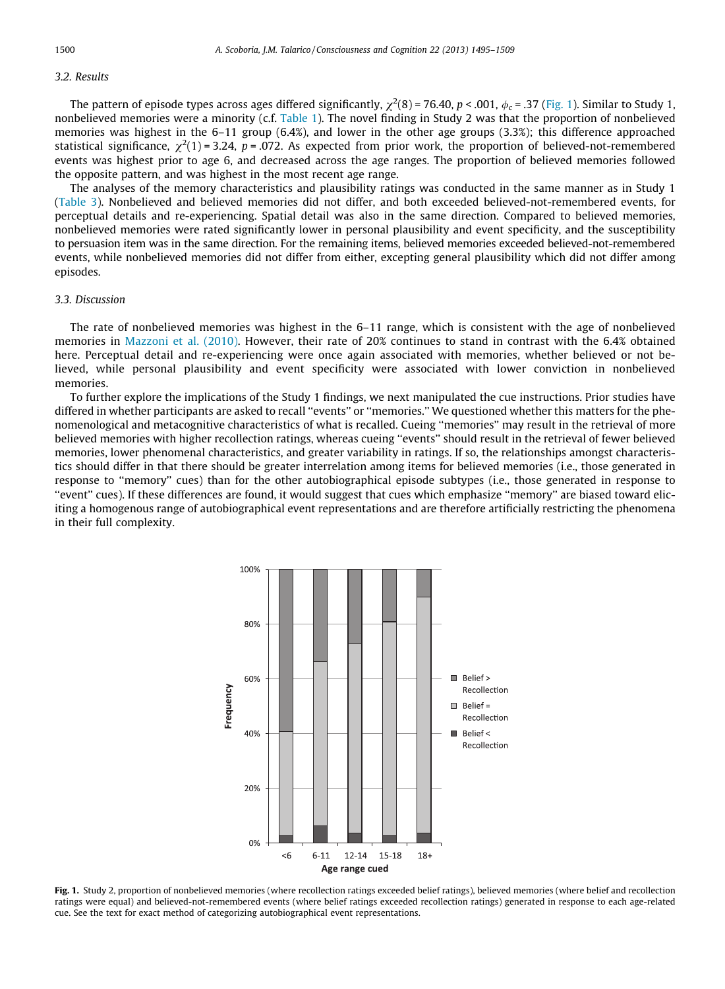### 3.2. Results

The pattern of episode types across ages differed significantly,  $\chi^2(8)$  = 76.40, p < .001,  $\phi_{\rm c}$  = .37 (Fig. 1). Similar to Study 1, nonbelieved memories were a minority (c.f. [Table 1\)](#page-3-0). The novel finding in Study 2 was that the proportion of nonbelieved memories was highest in the 6–11 group (6.4%), and lower in the other age groups (3.3%); this difference approached statistical significance,  $\chi^2(1)$  = 3.24, p = .072. As expected from prior work, the proportion of believed-not-remembered events was highest prior to age 6, and decreased across the age ranges. The proportion of believed memories followed the opposite pattern, and was highest in the most recent age range.

The analyses of the memory characteristics and plausibility ratings was conducted in the same manner as in Study 1 [\(Table 3](#page-6-0)). Nonbelieved and believed memories did not differ, and both exceeded believed-not-remembered events, for perceptual details and re-experiencing. Spatial detail was also in the same direction. Compared to believed memories, nonbelieved memories were rated significantly lower in personal plausibility and event specificity, and the susceptibility to persuasion item was in the same direction. For the remaining items, believed memories exceeded believed-not-remembered events, while nonbelieved memories did not differ from either, excepting general plausibility which did not differ among episodes.

#### 3.3. Discussion

The rate of nonbelieved memories was highest in the 6–11 range, which is consistent with the age of nonbelieved memories in [Mazzoni et al. \(2010\).](#page-14-0) However, their rate of 20% continues to stand in contrast with the 6.4% obtained here. Perceptual detail and re-experiencing were once again associated with memories, whether believed or not believed, while personal plausibility and event specificity were associated with lower conviction in nonbelieved memories.

To further explore the implications of the Study 1 findings, we next manipulated the cue instructions. Prior studies have differed in whether participants are asked to recall "events" or "memories." We questioned whether this matters for the phenomenological and metacognitive characteristics of what is recalled. Cueing ''memories'' may result in the retrieval of more believed memories with higher recollection ratings, whereas cueing ''events'' should result in the retrieval of fewer believed memories, lower phenomenal characteristics, and greater variability in ratings. If so, the relationships amongst characteristics should differ in that there should be greater interrelation among items for believed memories (i.e., those generated in response to ''memory'' cues) than for the other autobiographical episode subtypes (i.e., those generated in response to ''event'' cues). If these differences are found, it would suggest that cues which emphasize ''memory'' are biased toward eliciting a homogenous range of autobiographical event representations and are therefore artificially restricting the phenomena in their full complexity.



Fig. 1. Study 2, proportion of nonbelieved memories (where recollection ratings exceeded belief ratings), believed memories (where belief and recollection ratings were equal) and believed-not-remembered events (where belief ratings exceeded recollection ratings) generated in response to each age-related cue. See the text for exact method of categorizing autobiographical event representations.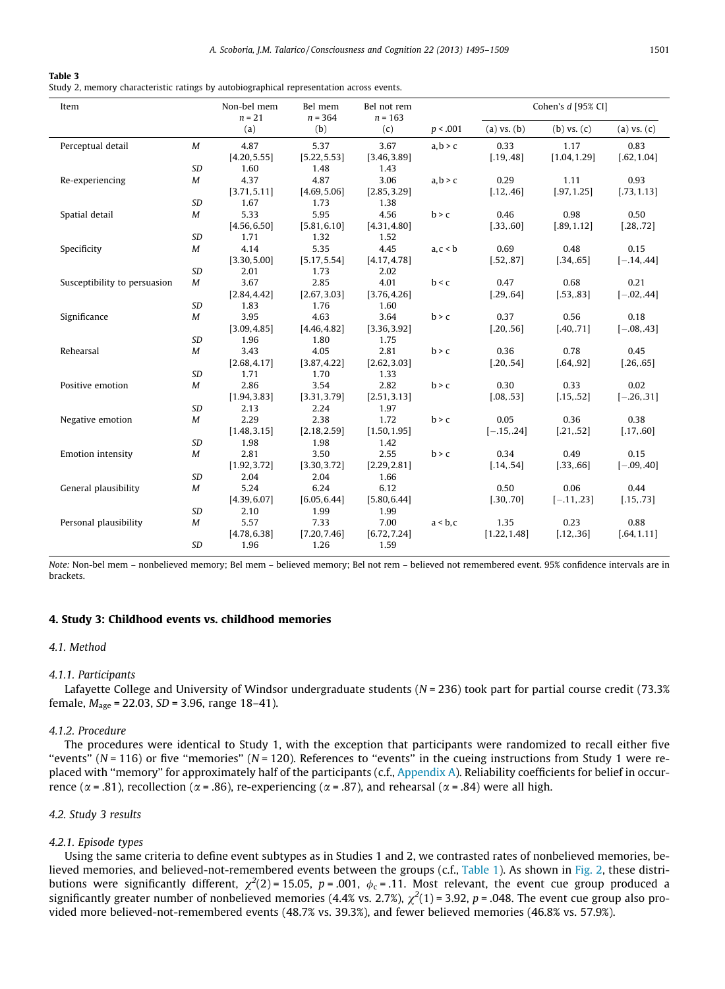<span id="page-6-0"></span>

|--|--|

Study 2, memory characteristic ratings by autobiographical representation across events.

| Item                         |             | Non-bel mem<br>$n = 21$ | Bel mem<br>$n = 364$ | Bel not rem<br>$n = 163$ |          |                    | Cohen's d [95% CI]   |                     |
|------------------------------|-------------|-------------------------|----------------------|--------------------------|----------|--------------------|----------------------|---------------------|
|                              |             | (a)                     | (b)                  | (c)                      | p < .001 | $(a)$ vs. $(b)$    | $(b)$ vs. $(c)$      | $(a)$ vs. $(c)$     |
| Perceptual detail            | $M_{\odot}$ | 4.87<br>[4.20, 5.55]    | 5.37<br>[5.22, 5.53] | 3.67<br>[3.46, 3.89]     | a, b > c | 0.33<br>[.19, .48] | 1.17<br>[1.04, 1.29] | 0.83<br>[.62, 1.04] |
|                              | <b>SD</b>   | 1.60                    | 1.48                 | 1.43                     |          |                    |                      |                     |
| Re-experiencing              | $\cal M$    | 4.37                    | 4.87                 | 3.06                     | a, b > c | 0.29               | 1.11                 | 0.93                |
|                              |             | [3.71, 5.11]            | [4.69, 5.06]         | [2.85, 3.29]             |          | [.12, .46]         | [.97, 1.25]          | [.73, 1.13]         |
|                              | <b>SD</b>   | 1.67                    | 1.73                 | 1.38                     |          |                    |                      |                     |
| Spatial detail               | M           | 5.33                    | 5.95                 | 4.56                     | b > c    | 0.46               | 0.98                 | 0.50                |
|                              |             | [4.56, 6.50]            | [5.81, 6.10]         | [4.31, 4.80]             |          | [.33, .60]         | [.89, 1.12]          | [.28, .72]          |
|                              | SD          | 1.71                    | 1.32                 | 1.52                     |          |                    |                      |                     |
| Specificity                  | $\cal M$    | 4.14                    | 5.35                 | 4.45                     | a, c < b | 0.69               | 0.48                 | 0.15                |
|                              |             | [3.30, 5.00]            | [5.17, 5.54]         | [4.17, 4.78]             |          | [.52, .87]         | [.34, .65]           | $[-.14, .44]$       |
|                              | SD          | 2.01                    | 1.73                 | 2.02                     |          |                    |                      |                     |
| Susceptibility to persuasion | $\cal M$    | 3.67                    | 2.85                 | 4.01                     | b < c    | 0.47               | 0.68                 | 0.21                |
|                              |             | [2.84, 4.42]            | [2.67, 3.03]         | [3.76, 4.26]             |          | [.29, .64]         | [.53, .83]           | $[-.02, .44]$       |
|                              | <b>SD</b>   | 1.83                    | 1.76                 | 1.60                     |          |                    |                      |                     |
| Significance                 | M           | 3.95                    | 4.63                 | 3.64                     | b > c    | 0.37               | 0.56                 | 0.18                |
|                              |             | [3.09, 4.85]            | [4.46, 4.82]         | [3.36, 3.92]             |          | [.20, .56]         | [.40, .71]           | $[-.08, .43]$       |
|                              | <b>SD</b>   | 1.96                    | 1.80                 | 1.75                     |          |                    |                      |                     |
| Rehearsal                    | М           | 3.43                    | 4.05                 | 2.81                     | b > c    | 0.36               | 0.78                 | 0.45                |
|                              |             | [2.68, 4.17]            | [3.87, 4.22]         | [2.62, 3.03]             |          | [.20, .54]         | [.64, .92]           | [.26, .65]          |
|                              | <b>SD</b>   | 1.71                    | 1.70                 | 1.33                     |          |                    |                      |                     |
| Positive emotion             | $\cal M$    | 2.86                    | 3.54                 | 2.82                     | b > c    | 0.30               | 0.33                 | 0.02                |
|                              |             | [1.94, 3.83]            | [3.31, 3.79]         | [2.51, 3.13]             |          | [.08, .53]         | [.15, .52]           | $[-.26, .31]$       |
|                              | SD          | 2.13                    | 2.24                 | 1.97                     |          |                    |                      |                     |
| Negative emotion             | $\cal M$    | 2.29                    | 2.38                 | 1.72                     | b > c    | 0.05               | 0.36                 | 0.38                |
|                              |             | [1.48, 3.15]            | [2.18, 2.59]         | [1.50, 1.95]             |          | $[-.15, .24]$      | [.21, .52]           | [.17, .60]          |
|                              | <b>SD</b>   | 1.98                    | 1.98                 | 1.42                     |          |                    |                      |                     |
| Emotion intensity            | M           | 2.81                    | 3.50                 | 2.55                     | b > c    | 0.34               | 0.49                 | 0.15                |
|                              |             | [1.92, 3.72]            | [3.30, 3.72]         | [2.29, 2.81]             |          | [.14, .54]         | [.33, .66]           | $[-.09, .40]$       |
|                              | SD          | 2.04                    | 2.04                 | 1.66                     |          |                    |                      |                     |
| General plausibility         | М           | 5.24                    | 6.24                 | 6.12                     |          | 0.50               | 0.06                 | 0.44                |
|                              |             | [4.39, 6.07]            | [6.05, 6.44]         | [5.80, 6.44]             |          | [.30, .70]         | $[-.11, .23]$        | [.15, .73]          |
|                              | SD          | 2.10                    | 1.99                 | 1.99                     |          |                    |                      |                     |
| Personal plausibility        | $\cal M$    | 5.57                    | 7.33                 | 7.00                     | a < b, c | 1.35               | 0.23                 | 0.88                |
|                              |             | [4.78, 6.38]            | [7.20, 7.46]         | [6.72, 7.24]             |          | [1.22, 1.48]       | [.12, .36]           | [.64, 1.11]         |
|                              | SD          | 1.96                    | 1.26                 | 1.59                     |          |                    |                      |                     |

Note: Non-bel mem – nonbelieved memory; Bel mem – believed memory; Bel not rem – believed not remembered event. 95% confidence intervals are in brackets.

#### 4. Study 3: Childhood events vs. childhood memories

#### 4.1. Method

#### 4.1.1. Participants

Lafayette College and University of Windsor undergraduate students ( $N = 236$ ) took part for partial course credit (73.3%) female,  $M_{\text{age}}$  = 22.03, SD = 3.96, range 18-41).

#### 4.1.2. Procedure

The procedures were identical to Study 1, with the exception that participants were randomized to recall either five "events" ( $N = 116$ ) or five "memories" ( $N = 120$ ). References to "events" in the cueing instructions from Study 1 were replaced with ''memory'' for approximately half of the participants (c.f., [Appendix A](#page-12-0)). Reliability coefficients for belief in occurrence ( $\alpha$  = .81), recollection ( $\alpha$  = .86), re-experiencing ( $\alpha$  = .87), and rehearsal ( $\alpha$  = .84) were all high.

# 4.2. Study 3 results

#### 4.2.1. Episode types

Using the same criteria to define event subtypes as in Studies 1 and 2, we contrasted rates of nonbelieved memories, be-lieved memories, and believed-not-remembered events between the groups (c.f., [Table 1\)](#page-3-0). As shown in [Fig. 2,](#page-7-0) these distributions were significantly different,  $\chi^2(2)$ =15.05, p=.001,  $\phi_c$ =.11. Most relevant, the event cue group produced a significantly greater number of nonbelieved memories (4.4% vs. 2.7%),  $\chi^2(1)$  = 3.92, p = .048. The event cue group also provided more believed-not-remembered events (48.7% vs. 39.3%), and fewer believed memories (46.8% vs. 57.9%).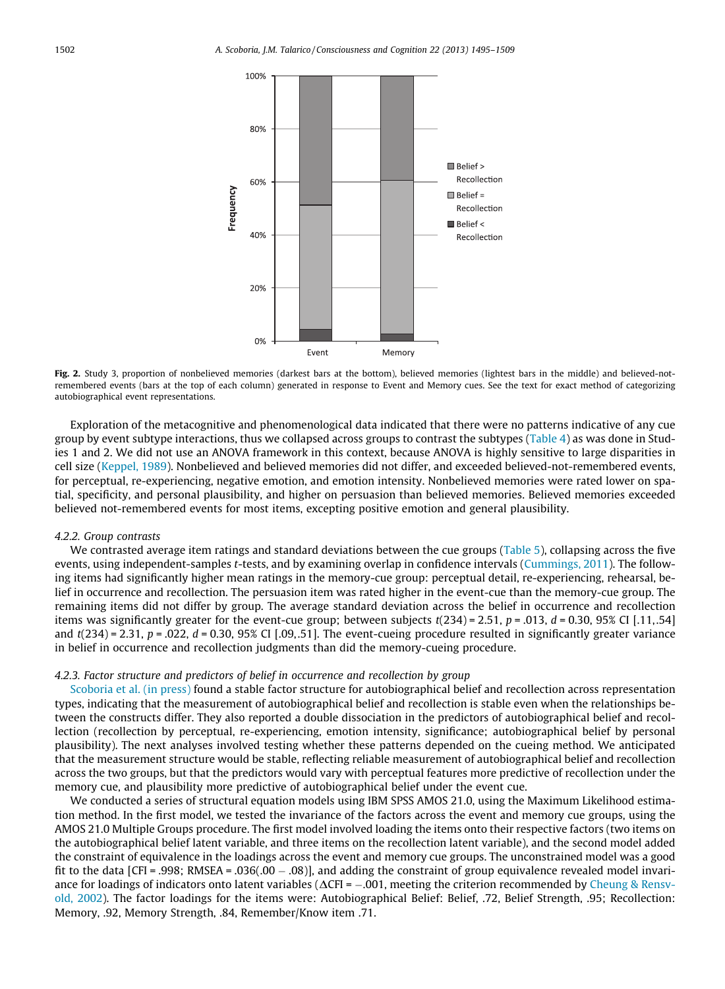<span id="page-7-0"></span>

Fig. 2. Study 3, proportion of nonbelieved memories (darkest bars at the bottom), believed memories (lightest bars in the middle) and believed-notremembered events (bars at the top of each column) generated in response to Event and Memory cues. See the text for exact method of categorizing autobiographical event representations.

Exploration of the metacognitive and phenomenological data indicated that there were no patterns indicative of any cue group by event subtype interactions, thus we collapsed across groups to contrast the subtypes [\(Table 4](#page-8-0)) as was done in Studies 1 and 2. We did not use an ANOVA framework in this context, because ANOVA is highly sensitive to large disparities in cell size [\(Keppel, 1989](#page-14-0)). Nonbelieved and believed memories did not differ, and exceeded believed-not-remembered events, for perceptual, re-experiencing, negative emotion, and emotion intensity. Nonbelieved memories were rated lower on spatial, specificity, and personal plausibility, and higher on persuasion than believed memories. Believed memories exceeded believed not-remembered events for most items, excepting positive emotion and general plausibility.

#### 4.2.2. Group contrasts

We contrasted average item ratings and standard deviations between the cue groups ([Table 5\)](#page-8-0), collapsing across the five events, using independent-samples t-tests, and by examining overlap in confidence intervals ([Cummings, 2011](#page-13-0)). The following items had significantly higher mean ratings in the memory-cue group: perceptual detail, re-experiencing, rehearsal, belief in occurrence and recollection. The persuasion item was rated higher in the event-cue than the memory-cue group. The remaining items did not differ by group. The average standard deviation across the belief in occurrence and recollection items was significantly greater for the event-cue group; between subjects  $t(234) = 2.51$ ,  $p = .013$ ,  $d = 0.30$ , 95% CI [.11,.54] and  $t(234) = 2.31$ ,  $p = .022$ ,  $d = 0.30$ , 95% CI [.09,.51]. The event-cueing procedure resulted in significantly greater variance in belief in occurrence and recollection judgments than did the memory-cueing procedure.

#### 4.2.3. Factor structure and predictors of belief in occurrence and recollection by group

[Scoboria et al. \(in press\)](#page-14-0) found a stable factor structure for autobiographical belief and recollection across representation types, indicating that the measurement of autobiographical belief and recollection is stable even when the relationships between the constructs differ. They also reported a double dissociation in the predictors of autobiographical belief and recollection (recollection by perceptual, re-experiencing, emotion intensity, significance; autobiographical belief by personal plausibility). The next analyses involved testing whether these patterns depended on the cueing method. We anticipated that the measurement structure would be stable, reflecting reliable measurement of autobiographical belief and recollection across the two groups, but that the predictors would vary with perceptual features more predictive of recollection under the memory cue, and plausibility more predictive of autobiographical belief under the event cue.

We conducted a series of structural equation models using IBM SPSS AMOS 21.0, using the Maximum Likelihood estimation method. In the first model, we tested the invariance of the factors across the event and memory cue groups, using the AMOS 21.0 Multiple Groups procedure. The first model involved loading the items onto their respective factors (two items on the autobiographical belief latent variable, and three items on the recollection latent variable), and the second model added the constraint of equivalence in the loadings across the event and memory cue groups. The unconstrained model was a good fit to the data  $[CFI = .998; RMSEA = .036(.00 - .08)],$  and adding the constraint of group equivalence revealed model invariance for loadings of indicators onto latent variables ( $\Delta$ CFI = -.001, meeting the criterion recommended by [Cheung & Rensv](#page-13-0)[old, 2002](#page-13-0)). The factor loadings for the items were: Autobiographical Belief: Belief, .72, Belief Strength, .95; Recollection: Memory, .92, Memory Strength, .84, Remember/Know item .71.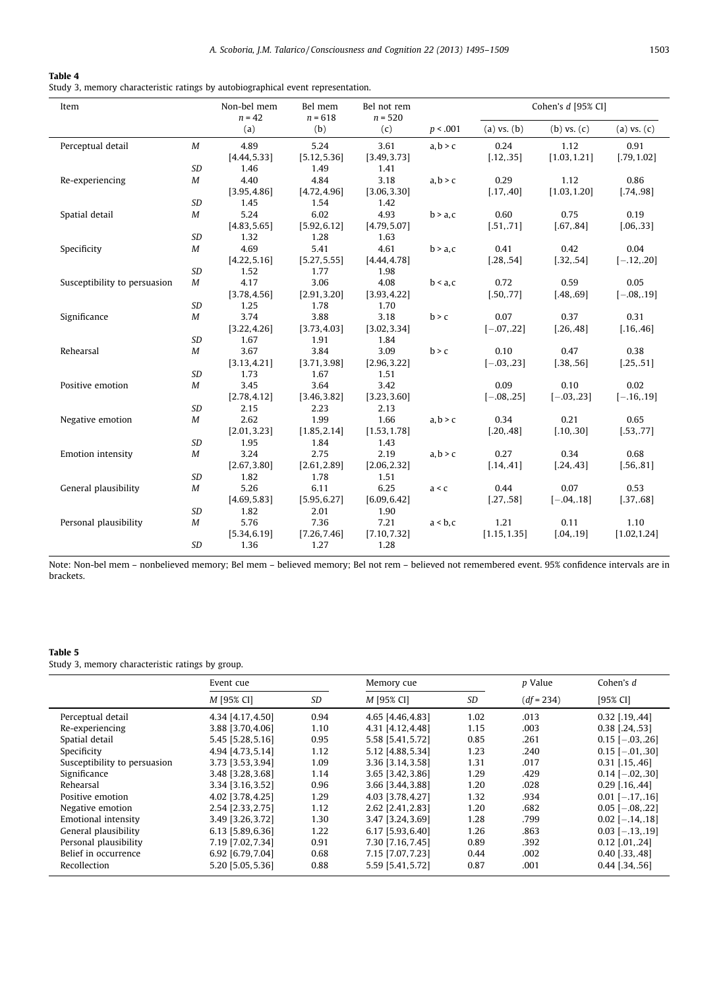#### <span id="page-8-0"></span>Table 4

Study 3, memory characteristic ratings by autobiographical event representation.

| (a)<br>(b)<br>(c)<br>p < .001<br>$(b)$ vs. $(c)$<br>$(a)$ vs. $(b)$<br>$(a)$ vs. $(c)$<br>4.89<br>0.24<br>Perceptual detail<br>M<br>5.24<br>3.61<br>a, b > c<br>1.12<br>0.91<br>[1.03, 1.21]<br>[4.44, 5.33]<br>[5.12, 5.36]<br>[3.49, 3.73]<br>[.12, .35]<br>[.79, 1.02]<br>SD<br>1.46<br>1.49<br>1.41<br>4.84<br>0.29<br>4.40<br>3.18<br>1.12<br>0.86<br>Re-experiencing<br>M<br>a, b > c<br>[.17, .40]<br>[1.03, 1.20]<br>[.74, .98]<br>[3.95, 4.86]<br>[4.72, 4.96]<br>[3.06, 3.30]<br>SD<br>1.45<br>1.54<br>1.42<br>5.24<br>0.60<br>0.75<br>0.19<br>$\cal M$<br>6.02<br>4.93<br>Spatial detail<br>b > a, c<br>[.67, .84]<br>[4.83, 5.65]<br>[5.92, 6.12]<br>[4.79, 5.07]<br>[.51, .71]<br>[.06, .33]<br>SD<br>1.32<br>1.28<br>1.63<br>4.69<br>0.41<br>0.42<br>0.04<br>Specificity<br>M<br>5.41<br>4.61<br>b > a, c<br>[.32, .54]<br>[4.22, 5.16]<br>[5.27, 5.55]<br>[4.44, 4.78]<br>[.28, .54]<br>$[-.12, .20]$<br>SD<br>1.52<br>1.77<br>1.98<br>4.17<br>0.72<br>0.59<br>0.05<br>Susceptibility to persuasion<br>M<br>3.06<br>4.08<br>b < a, c<br>[.48, .69]<br>$[-.08, .19]$<br>[3.78, 4.56]<br>[2.91, 3.20]<br>[3.93, 4.22]<br>[.50, .77]<br>SD<br>1.25<br>1.78<br>1.70<br>3.74<br>0.07<br>0.37<br>0.31<br>Significance<br>M<br>3.88<br>3.18<br>b > c<br>[3.22, 4.26]<br>[3.02, 3.34]<br>[.26, .48]<br>[3.73, 4.03]<br>$[-.07, .22]$<br>[.16, .46]<br>SD<br>1.67<br>1.91<br>1.84<br>3.67<br>0.10<br>0.47<br>0.38<br>Rehearsal<br>М<br>3.84<br>3.09<br>b > c<br>[2.96, 3.22]<br>$[-.03, .23]$<br>[.38, .56]<br>[.25, .51]<br>[3.13, 4.21]<br>[3.71, 3.98]<br>SD<br>1.73<br>1.67<br>1.51<br>3.45<br>0.09<br>0.10<br>0.02<br>Positive emotion<br>3.64<br>3.42<br>М<br>$[-.03, .23]$<br>[2.78, 4.12]<br>[3.46, 3.82]<br>[3.23, 3.60]<br>$[-.08, .25]$<br>$[-.16, .19]$<br>SD<br>2.15<br>2.23<br>2.13<br>0.21<br>0.65<br>2.62<br>1.99<br>1.66<br>0.34<br>Negative emotion<br>М<br>a, b > c<br>[2.01, 3.23]<br>[1.85, 2.14]<br>[.20, .48]<br>[.10, .30]<br>[1.53, 1.78]<br>[.53, .77]<br>SD<br>1.95<br>1.84<br>1.43<br>3.24<br>0.27<br>0.34<br>0.68<br>Emotion intensity<br>2.75<br>2.19<br>a, b > c<br>М<br>[2.67, 3.80]<br>[2.61, 2.89]<br>[2.06, 2.32]<br>[.14, .41]<br>[.24, .43]<br>[.56, .81]<br>SD<br>1.82<br>1.78<br>1.51<br>5.26<br>0.44<br>0.07<br>0.53<br>General plausibility<br>$\cal M$<br>6.11<br>6.25<br>a < c<br>[4.69, 5.83]<br>[5.95, 6.27]<br>[6.09, 6.42]<br>[.27, .58]<br>$[-.04, .18]$<br>[.37, .68]<br>SD<br>1.82<br>2.01<br>1.90<br>5.76<br>1.21<br>Personal plausibility<br>$\cal M$<br>7.36<br>7.21<br>0.11<br>1.10<br>a < b, c<br>[5.34, 6.19]<br>[7.26, 7.46]<br>[7.10, 7.32]<br>[1.15, 1.35]<br>[.04, .19]<br>[1.02, 1.24]<br>SD<br>1.36<br>1.27<br>1.28 | Item |  | Non-bel mem<br>$n = 42$ | Bel mem<br>$n = 618$ | Bel not rem<br>$n = 520$ |  | Cohen's d [95% CI] |  |
|-----------------------------------------------------------------------------------------------------------------------------------------------------------------------------------------------------------------------------------------------------------------------------------------------------------------------------------------------------------------------------------------------------------------------------------------------------------------------------------------------------------------------------------------------------------------------------------------------------------------------------------------------------------------------------------------------------------------------------------------------------------------------------------------------------------------------------------------------------------------------------------------------------------------------------------------------------------------------------------------------------------------------------------------------------------------------------------------------------------------------------------------------------------------------------------------------------------------------------------------------------------------------------------------------------------------------------------------------------------------------------------------------------------------------------------------------------------------------------------------------------------------------------------------------------------------------------------------------------------------------------------------------------------------------------------------------------------------------------------------------------------------------------------------------------------------------------------------------------------------------------------------------------------------------------------------------------------------------------------------------------------------------------------------------------------------------------------------------------------------------------------------------------------------------------------------------------------------------------------------------------------------------------------------------------------------------------------------------------------------------------------------------------------------------------------------------------------------------------------------------------------------------------------------------------------------------------------------------------------------------------------------------------------------------------------------|------|--|-------------------------|----------------------|--------------------------|--|--------------------|--|
|                                                                                                                                                                                                                                                                                                                                                                                                                                                                                                                                                                                                                                                                                                                                                                                                                                                                                                                                                                                                                                                                                                                                                                                                                                                                                                                                                                                                                                                                                                                                                                                                                                                                                                                                                                                                                                                                                                                                                                                                                                                                                                                                                                                                                                                                                                                                                                                                                                                                                                                                                                                                                                                                                         |      |  |                         |                      |                          |  |                    |  |
|                                                                                                                                                                                                                                                                                                                                                                                                                                                                                                                                                                                                                                                                                                                                                                                                                                                                                                                                                                                                                                                                                                                                                                                                                                                                                                                                                                                                                                                                                                                                                                                                                                                                                                                                                                                                                                                                                                                                                                                                                                                                                                                                                                                                                                                                                                                                                                                                                                                                                                                                                                                                                                                                                         |      |  |                         |                      |                          |  |                    |  |
|                                                                                                                                                                                                                                                                                                                                                                                                                                                                                                                                                                                                                                                                                                                                                                                                                                                                                                                                                                                                                                                                                                                                                                                                                                                                                                                                                                                                                                                                                                                                                                                                                                                                                                                                                                                                                                                                                                                                                                                                                                                                                                                                                                                                                                                                                                                                                                                                                                                                                                                                                                                                                                                                                         |      |  |                         |                      |                          |  |                    |  |
|                                                                                                                                                                                                                                                                                                                                                                                                                                                                                                                                                                                                                                                                                                                                                                                                                                                                                                                                                                                                                                                                                                                                                                                                                                                                                                                                                                                                                                                                                                                                                                                                                                                                                                                                                                                                                                                                                                                                                                                                                                                                                                                                                                                                                                                                                                                                                                                                                                                                                                                                                                                                                                                                                         |      |  |                         |                      |                          |  |                    |  |
|                                                                                                                                                                                                                                                                                                                                                                                                                                                                                                                                                                                                                                                                                                                                                                                                                                                                                                                                                                                                                                                                                                                                                                                                                                                                                                                                                                                                                                                                                                                                                                                                                                                                                                                                                                                                                                                                                                                                                                                                                                                                                                                                                                                                                                                                                                                                                                                                                                                                                                                                                                                                                                                                                         |      |  |                         |                      |                          |  |                    |  |
|                                                                                                                                                                                                                                                                                                                                                                                                                                                                                                                                                                                                                                                                                                                                                                                                                                                                                                                                                                                                                                                                                                                                                                                                                                                                                                                                                                                                                                                                                                                                                                                                                                                                                                                                                                                                                                                                                                                                                                                                                                                                                                                                                                                                                                                                                                                                                                                                                                                                                                                                                                                                                                                                                         |      |  |                         |                      |                          |  |                    |  |
|                                                                                                                                                                                                                                                                                                                                                                                                                                                                                                                                                                                                                                                                                                                                                                                                                                                                                                                                                                                                                                                                                                                                                                                                                                                                                                                                                                                                                                                                                                                                                                                                                                                                                                                                                                                                                                                                                                                                                                                                                                                                                                                                                                                                                                                                                                                                                                                                                                                                                                                                                                                                                                                                                         |      |  |                         |                      |                          |  |                    |  |
|                                                                                                                                                                                                                                                                                                                                                                                                                                                                                                                                                                                                                                                                                                                                                                                                                                                                                                                                                                                                                                                                                                                                                                                                                                                                                                                                                                                                                                                                                                                                                                                                                                                                                                                                                                                                                                                                                                                                                                                                                                                                                                                                                                                                                                                                                                                                                                                                                                                                                                                                                                                                                                                                                         |      |  |                         |                      |                          |  |                    |  |
|                                                                                                                                                                                                                                                                                                                                                                                                                                                                                                                                                                                                                                                                                                                                                                                                                                                                                                                                                                                                                                                                                                                                                                                                                                                                                                                                                                                                                                                                                                                                                                                                                                                                                                                                                                                                                                                                                                                                                                                                                                                                                                                                                                                                                                                                                                                                                                                                                                                                                                                                                                                                                                                                                         |      |  |                         |                      |                          |  |                    |  |
|                                                                                                                                                                                                                                                                                                                                                                                                                                                                                                                                                                                                                                                                                                                                                                                                                                                                                                                                                                                                                                                                                                                                                                                                                                                                                                                                                                                                                                                                                                                                                                                                                                                                                                                                                                                                                                                                                                                                                                                                                                                                                                                                                                                                                                                                                                                                                                                                                                                                                                                                                                                                                                                                                         |      |  |                         |                      |                          |  |                    |  |
|                                                                                                                                                                                                                                                                                                                                                                                                                                                                                                                                                                                                                                                                                                                                                                                                                                                                                                                                                                                                                                                                                                                                                                                                                                                                                                                                                                                                                                                                                                                                                                                                                                                                                                                                                                                                                                                                                                                                                                                                                                                                                                                                                                                                                                                                                                                                                                                                                                                                                                                                                                                                                                                                                         |      |  |                         |                      |                          |  |                    |  |
|                                                                                                                                                                                                                                                                                                                                                                                                                                                                                                                                                                                                                                                                                                                                                                                                                                                                                                                                                                                                                                                                                                                                                                                                                                                                                                                                                                                                                                                                                                                                                                                                                                                                                                                                                                                                                                                                                                                                                                                                                                                                                                                                                                                                                                                                                                                                                                                                                                                                                                                                                                                                                                                                                         |      |  |                         |                      |                          |  |                    |  |
|                                                                                                                                                                                                                                                                                                                                                                                                                                                                                                                                                                                                                                                                                                                                                                                                                                                                                                                                                                                                                                                                                                                                                                                                                                                                                                                                                                                                                                                                                                                                                                                                                                                                                                                                                                                                                                                                                                                                                                                                                                                                                                                                                                                                                                                                                                                                                                                                                                                                                                                                                                                                                                                                                         |      |  |                         |                      |                          |  |                    |  |
|                                                                                                                                                                                                                                                                                                                                                                                                                                                                                                                                                                                                                                                                                                                                                                                                                                                                                                                                                                                                                                                                                                                                                                                                                                                                                                                                                                                                                                                                                                                                                                                                                                                                                                                                                                                                                                                                                                                                                                                                                                                                                                                                                                                                                                                                                                                                                                                                                                                                                                                                                                                                                                                                                         |      |  |                         |                      |                          |  |                    |  |
|                                                                                                                                                                                                                                                                                                                                                                                                                                                                                                                                                                                                                                                                                                                                                                                                                                                                                                                                                                                                                                                                                                                                                                                                                                                                                                                                                                                                                                                                                                                                                                                                                                                                                                                                                                                                                                                                                                                                                                                                                                                                                                                                                                                                                                                                                                                                                                                                                                                                                                                                                                                                                                                                                         |      |  |                         |                      |                          |  |                    |  |
|                                                                                                                                                                                                                                                                                                                                                                                                                                                                                                                                                                                                                                                                                                                                                                                                                                                                                                                                                                                                                                                                                                                                                                                                                                                                                                                                                                                                                                                                                                                                                                                                                                                                                                                                                                                                                                                                                                                                                                                                                                                                                                                                                                                                                                                                                                                                                                                                                                                                                                                                                                                                                                                                                         |      |  |                         |                      |                          |  |                    |  |
|                                                                                                                                                                                                                                                                                                                                                                                                                                                                                                                                                                                                                                                                                                                                                                                                                                                                                                                                                                                                                                                                                                                                                                                                                                                                                                                                                                                                                                                                                                                                                                                                                                                                                                                                                                                                                                                                                                                                                                                                                                                                                                                                                                                                                                                                                                                                                                                                                                                                                                                                                                                                                                                                                         |      |  |                         |                      |                          |  |                    |  |
|                                                                                                                                                                                                                                                                                                                                                                                                                                                                                                                                                                                                                                                                                                                                                                                                                                                                                                                                                                                                                                                                                                                                                                                                                                                                                                                                                                                                                                                                                                                                                                                                                                                                                                                                                                                                                                                                                                                                                                                                                                                                                                                                                                                                                                                                                                                                                                                                                                                                                                                                                                                                                                                                                         |      |  |                         |                      |                          |  |                    |  |
|                                                                                                                                                                                                                                                                                                                                                                                                                                                                                                                                                                                                                                                                                                                                                                                                                                                                                                                                                                                                                                                                                                                                                                                                                                                                                                                                                                                                                                                                                                                                                                                                                                                                                                                                                                                                                                                                                                                                                                                                                                                                                                                                                                                                                                                                                                                                                                                                                                                                                                                                                                                                                                                                                         |      |  |                         |                      |                          |  |                    |  |
|                                                                                                                                                                                                                                                                                                                                                                                                                                                                                                                                                                                                                                                                                                                                                                                                                                                                                                                                                                                                                                                                                                                                                                                                                                                                                                                                                                                                                                                                                                                                                                                                                                                                                                                                                                                                                                                                                                                                                                                                                                                                                                                                                                                                                                                                                                                                                                                                                                                                                                                                                                                                                                                                                         |      |  |                         |                      |                          |  |                    |  |
|                                                                                                                                                                                                                                                                                                                                                                                                                                                                                                                                                                                                                                                                                                                                                                                                                                                                                                                                                                                                                                                                                                                                                                                                                                                                                                                                                                                                                                                                                                                                                                                                                                                                                                                                                                                                                                                                                                                                                                                                                                                                                                                                                                                                                                                                                                                                                                                                                                                                                                                                                                                                                                                                                         |      |  |                         |                      |                          |  |                    |  |
|                                                                                                                                                                                                                                                                                                                                                                                                                                                                                                                                                                                                                                                                                                                                                                                                                                                                                                                                                                                                                                                                                                                                                                                                                                                                                                                                                                                                                                                                                                                                                                                                                                                                                                                                                                                                                                                                                                                                                                                                                                                                                                                                                                                                                                                                                                                                                                                                                                                                                                                                                                                                                                                                                         |      |  |                         |                      |                          |  |                    |  |
|                                                                                                                                                                                                                                                                                                                                                                                                                                                                                                                                                                                                                                                                                                                                                                                                                                                                                                                                                                                                                                                                                                                                                                                                                                                                                                                                                                                                                                                                                                                                                                                                                                                                                                                                                                                                                                                                                                                                                                                                                                                                                                                                                                                                                                                                                                                                                                                                                                                                                                                                                                                                                                                                                         |      |  |                         |                      |                          |  |                    |  |
|                                                                                                                                                                                                                                                                                                                                                                                                                                                                                                                                                                                                                                                                                                                                                                                                                                                                                                                                                                                                                                                                                                                                                                                                                                                                                                                                                                                                                                                                                                                                                                                                                                                                                                                                                                                                                                                                                                                                                                                                                                                                                                                                                                                                                                                                                                                                                                                                                                                                                                                                                                                                                                                                                         |      |  |                         |                      |                          |  |                    |  |
|                                                                                                                                                                                                                                                                                                                                                                                                                                                                                                                                                                                                                                                                                                                                                                                                                                                                                                                                                                                                                                                                                                                                                                                                                                                                                                                                                                                                                                                                                                                                                                                                                                                                                                                                                                                                                                                                                                                                                                                                                                                                                                                                                                                                                                                                                                                                                                                                                                                                                                                                                                                                                                                                                         |      |  |                         |                      |                          |  |                    |  |
|                                                                                                                                                                                                                                                                                                                                                                                                                                                                                                                                                                                                                                                                                                                                                                                                                                                                                                                                                                                                                                                                                                                                                                                                                                                                                                                                                                                                                                                                                                                                                                                                                                                                                                                                                                                                                                                                                                                                                                                                                                                                                                                                                                                                                                                                                                                                                                                                                                                                                                                                                                                                                                                                                         |      |  |                         |                      |                          |  |                    |  |
|                                                                                                                                                                                                                                                                                                                                                                                                                                                                                                                                                                                                                                                                                                                                                                                                                                                                                                                                                                                                                                                                                                                                                                                                                                                                                                                                                                                                                                                                                                                                                                                                                                                                                                                                                                                                                                                                                                                                                                                                                                                                                                                                                                                                                                                                                                                                                                                                                                                                                                                                                                                                                                                                                         |      |  |                         |                      |                          |  |                    |  |
|                                                                                                                                                                                                                                                                                                                                                                                                                                                                                                                                                                                                                                                                                                                                                                                                                                                                                                                                                                                                                                                                                                                                                                                                                                                                                                                                                                                                                                                                                                                                                                                                                                                                                                                                                                                                                                                                                                                                                                                                                                                                                                                                                                                                                                                                                                                                                                                                                                                                                                                                                                                                                                                                                         |      |  |                         |                      |                          |  |                    |  |
|                                                                                                                                                                                                                                                                                                                                                                                                                                                                                                                                                                                                                                                                                                                                                                                                                                                                                                                                                                                                                                                                                                                                                                                                                                                                                                                                                                                                                                                                                                                                                                                                                                                                                                                                                                                                                                                                                                                                                                                                                                                                                                                                                                                                                                                                                                                                                                                                                                                                                                                                                                                                                                                                                         |      |  |                         |                      |                          |  |                    |  |
|                                                                                                                                                                                                                                                                                                                                                                                                                                                                                                                                                                                                                                                                                                                                                                                                                                                                                                                                                                                                                                                                                                                                                                                                                                                                                                                                                                                                                                                                                                                                                                                                                                                                                                                                                                                                                                                                                                                                                                                                                                                                                                                                                                                                                                                                                                                                                                                                                                                                                                                                                                                                                                                                                         |      |  |                         |                      |                          |  |                    |  |
|                                                                                                                                                                                                                                                                                                                                                                                                                                                                                                                                                                                                                                                                                                                                                                                                                                                                                                                                                                                                                                                                                                                                                                                                                                                                                                                                                                                                                                                                                                                                                                                                                                                                                                                                                                                                                                                                                                                                                                                                                                                                                                                                                                                                                                                                                                                                                                                                                                                                                                                                                                                                                                                                                         |      |  |                         |                      |                          |  |                    |  |
|                                                                                                                                                                                                                                                                                                                                                                                                                                                                                                                                                                                                                                                                                                                                                                                                                                                                                                                                                                                                                                                                                                                                                                                                                                                                                                                                                                                                                                                                                                                                                                                                                                                                                                                                                                                                                                                                                                                                                                                                                                                                                                                                                                                                                                                                                                                                                                                                                                                                                                                                                                                                                                                                                         |      |  |                         |                      |                          |  |                    |  |
|                                                                                                                                                                                                                                                                                                                                                                                                                                                                                                                                                                                                                                                                                                                                                                                                                                                                                                                                                                                                                                                                                                                                                                                                                                                                                                                                                                                                                                                                                                                                                                                                                                                                                                                                                                                                                                                                                                                                                                                                                                                                                                                                                                                                                                                                                                                                                                                                                                                                                                                                                                                                                                                                                         |      |  |                         |                      |                          |  |                    |  |
|                                                                                                                                                                                                                                                                                                                                                                                                                                                                                                                                                                                                                                                                                                                                                                                                                                                                                                                                                                                                                                                                                                                                                                                                                                                                                                                                                                                                                                                                                                                                                                                                                                                                                                                                                                                                                                                                                                                                                                                                                                                                                                                                                                                                                                                                                                                                                                                                                                                                                                                                                                                                                                                                                         |      |  |                         |                      |                          |  |                    |  |
|                                                                                                                                                                                                                                                                                                                                                                                                                                                                                                                                                                                                                                                                                                                                                                                                                                                                                                                                                                                                                                                                                                                                                                                                                                                                                                                                                                                                                                                                                                                                                                                                                                                                                                                                                                                                                                                                                                                                                                                                                                                                                                                                                                                                                                                                                                                                                                                                                                                                                                                                                                                                                                                                                         |      |  |                         |                      |                          |  |                    |  |
|                                                                                                                                                                                                                                                                                                                                                                                                                                                                                                                                                                                                                                                                                                                                                                                                                                                                                                                                                                                                                                                                                                                                                                                                                                                                                                                                                                                                                                                                                                                                                                                                                                                                                                                                                                                                                                                                                                                                                                                                                                                                                                                                                                                                                                                                                                                                                                                                                                                                                                                                                                                                                                                                                         |      |  |                         |                      |                          |  |                    |  |
|                                                                                                                                                                                                                                                                                                                                                                                                                                                                                                                                                                                                                                                                                                                                                                                                                                                                                                                                                                                                                                                                                                                                                                                                                                                                                                                                                                                                                                                                                                                                                                                                                                                                                                                                                                                                                                                                                                                                                                                                                                                                                                                                                                                                                                                                                                                                                                                                                                                                                                                                                                                                                                                                                         |      |  |                         |                      |                          |  |                    |  |

Note: Non-bel mem – nonbelieved memory; Bel mem – believed memory; Bel not rem – believed not remembered event. 95% confidence intervals are in brackets.

#### Table 5

Study 3, memory characteristic ratings by group.

|                              | Event cue         |      | Memory cue        |      | p Value      | Cohen's d              |
|------------------------------|-------------------|------|-------------------|------|--------------|------------------------|
|                              | M [95% CI]        | SD   | M [95% CI]        | SD   | $(df = 234)$ | [95% CI]               |
| Perceptual detail            | 4.34 [4.17, 4.50] | 0.94 | 4.65 [4.46, 4.83] | 1.02 | .013         | $0.32$ [.19, .44]      |
| Re-experiencing              | 3.88 [3.70, 4.06] | 1.10 | 4.31 [4.12, 4.48] | 1.15 | .003         | $0.38$ [.24, .53]      |
| Spatial detail               | 5.45 [5.28, 5.16] | 0.95 | 5.58 [5.41, 5.72] | 0.85 | .261         | $0.15$ [ $-.03, .26$ ] |
| Specificity                  | 4.94 [4.73, 5.14] | 1.12 | 5.12 [4.88, 5.34] | 1.23 | .240         | $0.15$ [ $-.01, .30$ ] |
| Susceptibility to persuasion | 3.73 [3.53, 3.94] | 1.09 | 3.36 [3.14, 3.58] | 1.31 | .017         | $0.31$ [.15, 46]       |
| Significance                 | 3.48 [3.28, 3.68] | 1.14 | 3.65 [3.42, 3.86] | 1.29 | .429         | $0.14$ [ $-.02, .30$ ] |
| Rehearsal                    | 3.34 [3.16, 3.52] | 0.96 | 3.66 [3.44, 3.88] | 1.20 | .028         | $0.29$ [.16, 44]       |
| Positive emotion             | 4.02 [3.78, 4.25] | 1.29 | 4.03 [3.78, 4.27] | 1.32 | .934         | $0.01$ [ $-.17, .16$ ] |
| Negative emotion             | 2.54 [2.33, 2.75] | 1.12 | 2.62 [2.41, 2.83] | 1.20 | .682         | $0.05$ [ $-.08, .22$ ] |
| Emotional intensity          | 3.49 [3.26, 3.72] | 1.30 | 3.47 [3.24, 3.69] | 1.28 | .799         | $0.02$ [ $-.14, .18$ ] |
| General plausibility         | 6.13 [5.89, 6.36] | 1.22 | 6.17 [5.93, 6.40] | 1.26 | .863         | $0.03$ [ $-.13, .19$ ] |
| Personal plausibility        | 7.19 [7.02, 7.34] | 0.91 | 7.30 [7.16, 7.45] | 0.89 | .392         | $0.12$ [.01, .24]      |
| Belief in occurrence         | 6.92 [6.79, 7.04] | 0.68 | 7.15 [7.07, 7.23] | 0.44 | .002         | $0.40$ [.33, .48]      |
| Recollection                 | 5.20 [5.05, 5.36] | 0.88 | 5.59 [5.41, 5.72] | 0.87 | .001         | $0.44$ [.34,.56]       |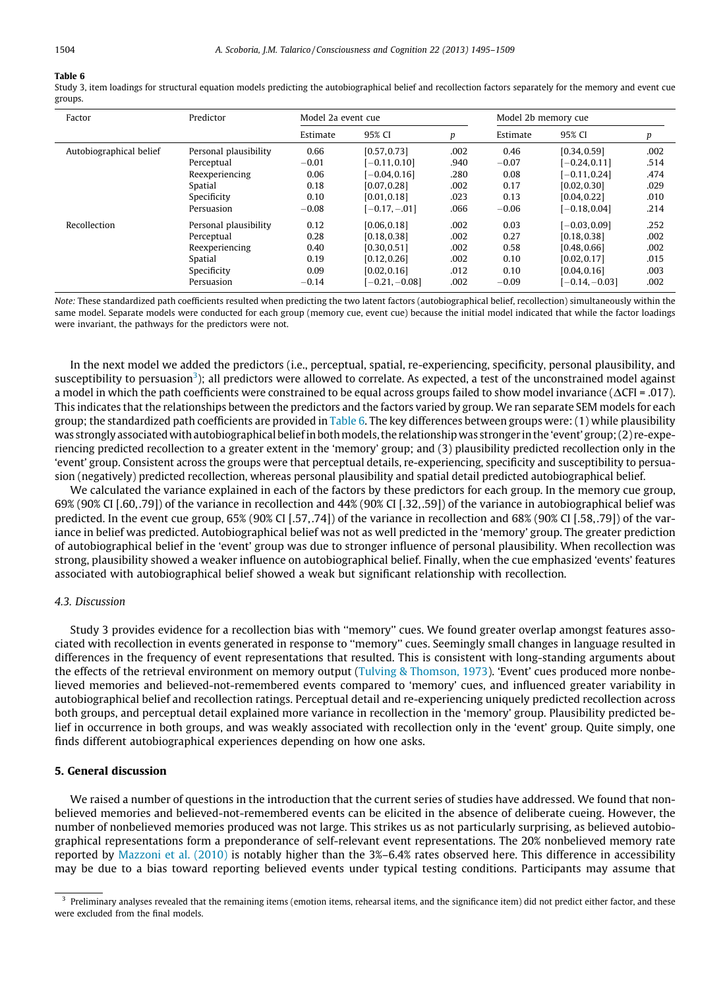#### Table 6

Study 3, item loadings for structural equation models predicting the autobiographical belief and recollection factors separately for the memory and event cue groups.

| Factor                  | Predictor                           | Model 2a event cue |                              |              | Model 2b memory cue |                                 |              |  |
|-------------------------|-------------------------------------|--------------------|------------------------------|--------------|---------------------|---------------------------------|--------------|--|
|                         |                                     | Estimate           | 95% CI                       | р            | Estimate            | 95% CI                          | p            |  |
| Autobiographical belief | Personal plausibility<br>Perceptual | 0.66<br>$-0.01$    | [0.57, 0.73]<br>$-0.11.0.10$ | .002<br>.940 | 0.46<br>$-0.07$     | [0.34, 0.59]<br>$[-0.24, 0.11]$ | .002<br>.514 |  |
|                         | Reexperiencing                      | 0.06               | $-0.04.0.16$                 | .280         | 0.08                | $[-0.11, 0.24]$                 | .474         |  |
|                         | Spatial<br>Specificity              | 0.18<br>0.10       | [0.07, 0.28]<br>[0.01, 0.18] | .002<br>.023 | 0.17<br>0.13        | [0.02, 0.30]<br>[0.04, 0.22]    | .029<br>.010 |  |
|                         | Persuasion                          | $-0.08$            | $[-0.17, -.01]$              | .066         | $-0.06$             | $[-0.18, 0.04]$                 | .214         |  |
| Recollection            | Personal plausibility               | 0.12               | [0.06, 0.18]                 | .002         | 0.03                | $[-0.03, 0.09]$                 | .252         |  |
|                         | Perceptual                          | 0.28               | [0.18, 0.38]                 | .002         | 0.27                | [0.18, 0.38]                    | .002         |  |
|                         | Reexperiencing                      | 0.40               | [0.30, 0.51]                 | .002         | 0.58                | [0.48, 0.66]                    | .002         |  |
|                         | Spatial                             | 0.19               | [0.12, 0.26]                 | .002         | 0.10                | [0.02, 0.17]                    | .015         |  |
|                         | Specificity                         | 0.09               | [0.02, 0.16]                 | .012         | 0.10                | [0.04, 0.16]                    | .003         |  |
|                         | Persuasion                          | $-0.14$            | $-0.21, -0.08$               | .002         | $-0.09$             | $[-0.14, -0.03]$                | .002         |  |

Note: These standardized path coefficients resulted when predicting the two latent factors (autobiographical belief, recollection) simultaneously within the same model. Separate models were conducted for each group (memory cue, event cue) because the initial model indicated that while the factor loadings were invariant, the pathways for the predictors were not.

In the next model we added the predictors (i.e., perceptual, spatial, re-experiencing, specificity, personal plausibility, and susceptibility to persuasion<sup>3</sup>); all predictors were allowed to correlate. As expected, a test of the unconstrained model against a model in which the path coefficients were constrained to be equal across groups failed to show model invariance ( $\Delta$ CFI = .017). This indicates that the relationships between the predictors and the factors varied by group. We ran separate SEM models for each group; the standardized path coefficients are provided in Table 6. The key differences between groups were: (1) while plausibility was strongly associated with autobiographical belief in bothmodels, the relationship was stronger in the 'event' group; (2) re-experiencing predicted recollection to a greater extent in the 'memory' group; and (3) plausibility predicted recollection only in the 'event' group. Consistent across the groups were that perceptual details, re-experiencing, specificity and susceptibility to persuasion (negatively) predicted recollection, whereas personal plausibility and spatial detail predicted autobiographical belief.

We calculated the variance explained in each of the factors by these predictors for each group. In the memory cue group, 69% (90% CI [.60,.79]) of the variance in recollection and 44% (90% CI [.32,.59]) of the variance in autobiographical belief was predicted. In the event cue group, 65% (90% CI [.57,.74]) of the variance in recollection and 68% (90% CI [.58,.79]) of the variance in belief was predicted. Autobiographical belief was not as well predicted in the 'memory' group. The greater prediction of autobiographical belief in the 'event' group was due to stronger influence of personal plausibility. When recollection was strong, plausibility showed a weaker influence on autobiographical belief. Finally, when the cue emphasized 'events' features associated with autobiographical belief showed a weak but significant relationship with recollection.

#### 4.3. Discussion

Study 3 provides evidence for a recollection bias with ''memory'' cues. We found greater overlap amongst features associated with recollection in events generated in response to ''memory'' cues. Seemingly small changes in language resulted in differences in the frequency of event representations that resulted. This is consistent with long-standing arguments about the effects of the retrieval environment on memory output ([Tulving & Thomson, 1973\)](#page-14-0). 'Event' cues produced more nonbelieved memories and believed-not-remembered events compared to 'memory' cues, and influenced greater variability in autobiographical belief and recollection ratings. Perceptual detail and re-experiencing uniquely predicted recollection across both groups, and perceptual detail explained more variance in recollection in the 'memory' group. Plausibility predicted belief in occurrence in both groups, and was weakly associated with recollection only in the 'event' group. Quite simply, one finds different autobiographical experiences depending on how one asks.

#### 5. General discussion

We raised a number of questions in the introduction that the current series of studies have addressed. We found that nonbelieved memories and believed-not-remembered events can be elicited in the absence of deliberate cueing. However, the number of nonbelieved memories produced was not large. This strikes us as not particularly surprising, as believed autobiographical representations form a preponderance of self-relevant event representations. The 20% nonbelieved memory rate reported by [Mazzoni et al. \(2010\)](#page-14-0) is notably higher than the 3%–6.4% rates observed here. This difference in accessibility may be due to a bias toward reporting believed events under typical testing conditions. Participants may assume that

 $3$  Preliminary analyses revealed that the remaining items (emotion items, rehearsal items, and the significance item) did not predict either factor, and these were excluded from the final models.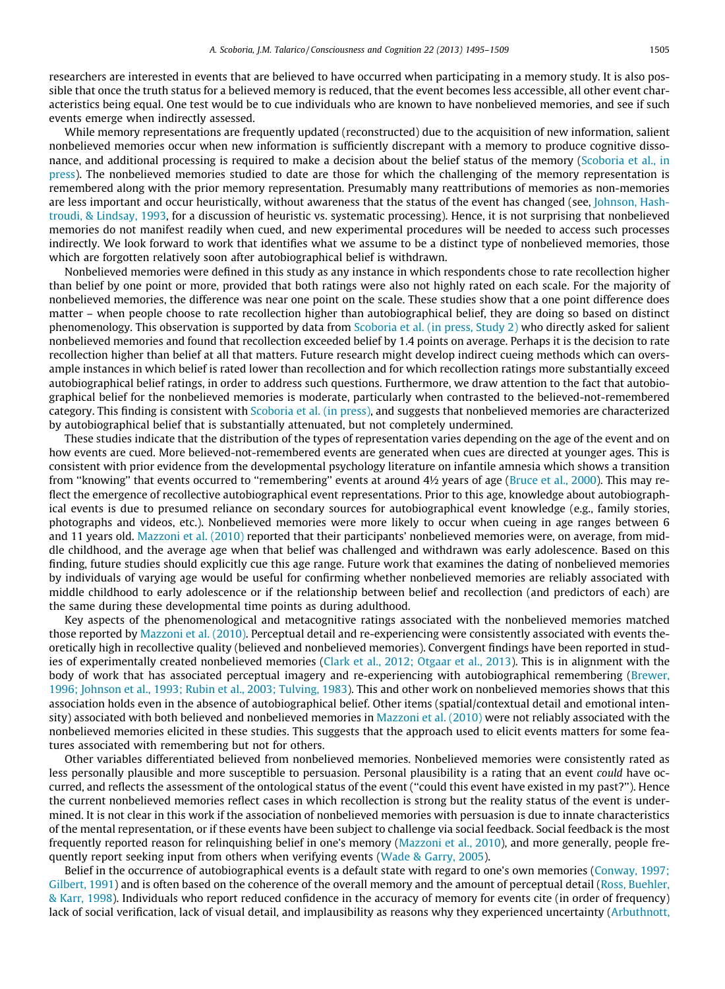researchers are interested in events that are believed to have occurred when participating in a memory study. It is also possible that once the truth status for a believed memory is reduced, that the event becomes less accessible, all other event characteristics being equal. One test would be to cue individuals who are known to have nonbelieved memories, and see if such events emerge when indirectly assessed.

While memory representations are frequently updated (reconstructed) due to the acquisition of new information, salient nonbelieved memories occur when new information is sufficiently discrepant with a memory to produce cognitive dissonance, and additional processing is required to make a decision about the belief status of the memory ([Scoboria et al., in](#page-14-0) [press\)](#page-14-0). The nonbelieved memories studied to date are those for which the challenging of the memory representation is remembered along with the prior memory representation. Presumably many reattributions of memories as non-memories are less important and occur heuristically, without awareness that the status of the event has changed (see, [Johnson, Hash](#page-14-0)[troudi, & Lindsay, 1993,](#page-14-0) for a discussion of heuristic vs. systematic processing). Hence, it is not surprising that nonbelieved memories do not manifest readily when cued, and new experimental procedures will be needed to access such processes indirectly. We look forward to work that identifies what we assume to be a distinct type of nonbelieved memories, those which are forgotten relatively soon after autobiographical belief is withdrawn.

Nonbelieved memories were defined in this study as any instance in which respondents chose to rate recollection higher than belief by one point or more, provided that both ratings were also not highly rated on each scale. For the majority of nonbelieved memories, the difference was near one point on the scale. These studies show that a one point difference does matter – when people choose to rate recollection higher than autobiographical belief, they are doing so based on distinct phenomenology. This observation is supported by data from [Scoboria et al. \(in press, Study 2\)](#page-14-0) who directly asked for salient nonbelieved memories and found that recollection exceeded belief by 1.4 points on average. Perhaps it is the decision to rate recollection higher than belief at all that matters. Future research might develop indirect cueing methods which can oversample instances in which belief is rated lower than recollection and for which recollection ratings more substantially exceed autobiographical belief ratings, in order to address such questions. Furthermore, we draw attention to the fact that autobiographical belief for the nonbelieved memories is moderate, particularly when contrasted to the believed-not-remembered category. This finding is consistent with [Scoboria et al. \(in press\)](#page-14-0), and suggests that nonbelieved memories are characterized by autobiographical belief that is substantially attenuated, but not completely undermined.

These studies indicate that the distribution of the types of representation varies depending on the age of the event and on how events are cued. More believed-not-remembered events are generated when cues are directed at younger ages. This is consistent with prior evidence from the developmental psychology literature on infantile amnesia which shows a transition from "knowing" that events occurred to "remembering" events at around 4½ years of age ([Bruce et al., 2000\)](#page-13-0). This may reflect the emergence of recollective autobiographical event representations. Prior to this age, knowledge about autobiographical events is due to presumed reliance on secondary sources for autobiographical event knowledge (e.g., family stories, photographs and videos, etc.). Nonbelieved memories were more likely to occur when cueing in age ranges between 6 and 11 years old. [Mazzoni et al. \(2010\)](#page-14-0) reported that their participants' nonbelieved memories were, on average, from middle childhood, and the average age when that belief was challenged and withdrawn was early adolescence. Based on this finding, future studies should explicitly cue this age range. Future work that examines the dating of nonbelieved memories by individuals of varying age would be useful for confirming whether nonbelieved memories are reliably associated with middle childhood to early adolescence or if the relationship between belief and recollection (and predictors of each) are the same during these developmental time points as during adulthood.

Key aspects of the phenomenological and metacognitive ratings associated with the nonbelieved memories matched those reported by [Mazzoni et al. \(2010\).](#page-14-0) Perceptual detail and re-experiencing were consistently associated with events theoretically high in recollective quality (believed and nonbelieved memories). Convergent findings have been reported in studies of experimentally created nonbelieved memories [\(Clark et al., 2012; Otgaar et al., 2013](#page-13-0)). This is in alignment with the body of work that has associated perceptual imagery and re-experiencing with autobiographical remembering [\(Brewer,](#page-13-0) [1996; Johnson et al., 1993; Rubin et al., 2003; Tulving, 1983](#page-13-0)). This and other work on nonbelieved memories shows that this association holds even in the absence of autobiographical belief. Other items (spatial/contextual detail and emotional intensity) associated with both believed and nonbelieved memories in [Mazzoni et al. \(2010\)](#page-14-0) were not reliably associated with the nonbelieved memories elicited in these studies. This suggests that the approach used to elicit events matters for some features associated with remembering but not for others.

Other variables differentiated believed from nonbelieved memories. Nonbelieved memories were consistently rated as less personally plausible and more susceptible to persuasion. Personal plausibility is a rating that an event could have occurred, and reflects the assessment of the ontological status of the event (''could this event have existed in my past?''). Hence the current nonbelieved memories reflect cases in which recollection is strong but the reality status of the event is undermined. It is not clear in this work if the association of nonbelieved memories with persuasion is due to innate characteristics of the mental representation, or if these events have been subject to challenge via social feedback. Social feedback is the most frequently reported reason for relinquishing belief in one's memory ([Mazzoni et al., 2010](#page-14-0)), and more generally, people frequently report seeking input from others when verifying events [\(Wade & Garry, 2005\)](#page-14-0).

Belief in the occurrence of autobiographical events is a default state with regard to one's own memories ([Conway, 1997;](#page-13-0) [Gilbert, 1991\)](#page-13-0) and is often based on the coherence of the overall memory and the amount of perceptual detail [\(Ross, Buehler,](#page-14-0) [& Karr, 1998\)](#page-14-0). Individuals who report reduced confidence in the accuracy of memory for events cite (in order of frequency) lack of social verification, lack of visual detail, and implausibility as reasons why they experienced uncertainty [\(Arbuthnott,](#page-13-0)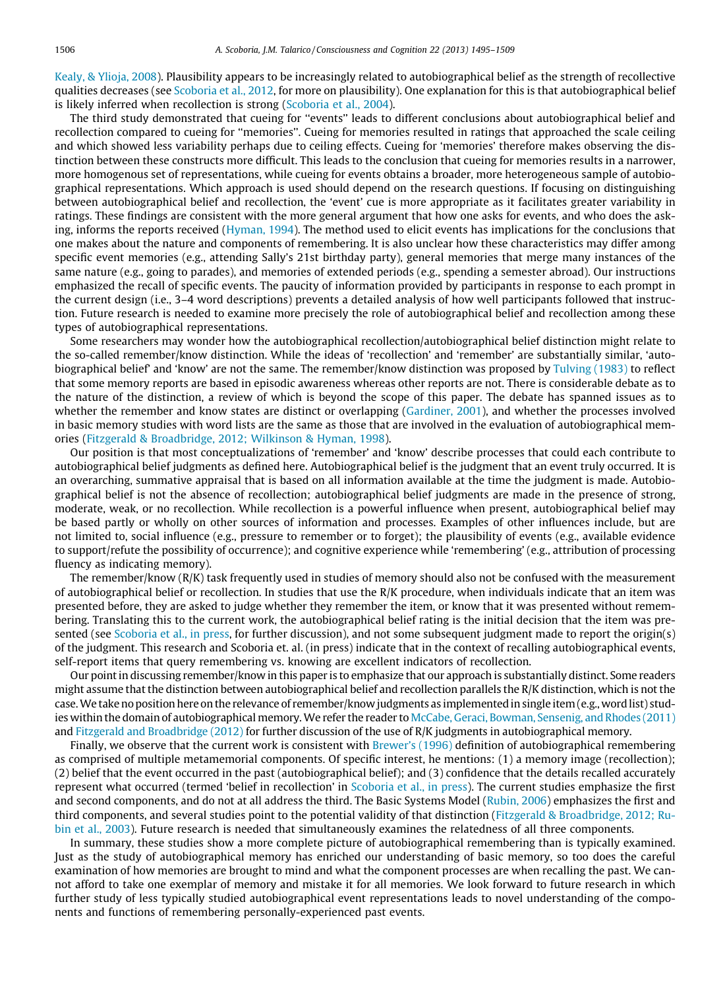[Kealy, & Ylioja, 2008\)](#page-13-0). Plausibility appears to be increasingly related to autobiographical belief as the strength of recollective qualities decreases (see [Scoboria et al., 2012](#page-14-0), for more on plausibility). One explanation for this is that autobiographical belief is likely inferred when recollection is strong [\(Scoboria et al., 2004](#page-14-0)).

The third study demonstrated that cueing for ''events'' leads to different conclusions about autobiographical belief and recollection compared to cueing for ''memories''. Cueing for memories resulted in ratings that approached the scale ceiling and which showed less variability perhaps due to ceiling effects. Cueing for 'memories' therefore makes observing the distinction between these constructs more difficult. This leads to the conclusion that cueing for memories results in a narrower, more homogenous set of representations, while cueing for events obtains a broader, more heterogeneous sample of autobiographical representations. Which approach is used should depend on the research questions. If focusing on distinguishing between autobiographical belief and recollection, the 'event' cue is more appropriate as it facilitates greater variability in ratings. These findings are consistent with the more general argument that how one asks for events, and who does the asking, informs the reports received [\(Hyman, 1994\)](#page-14-0). The method used to elicit events has implications for the conclusions that one makes about the nature and components of remembering. It is also unclear how these characteristics may differ among specific event memories (e.g., attending Sally's 21st birthday party), general memories that merge many instances of the same nature (e.g., going to parades), and memories of extended periods (e.g., spending a semester abroad). Our instructions emphasized the recall of specific events. The paucity of information provided by participants in response to each prompt in the current design (i.e., 3–4 word descriptions) prevents a detailed analysis of how well participants followed that instruction. Future research is needed to examine more precisely the role of autobiographical belief and recollection among these types of autobiographical representations.

Some researchers may wonder how the autobiographical recollection/autobiographical belief distinction might relate to the so-called remember/know distinction. While the ideas of 'recollection' and 'remember' are substantially similar, 'autobiographical belief' and 'know' are not the same. The remember/know distinction was proposed by [Tulving \(1983\)](#page-14-0) to reflect that some memory reports are based in episodic awareness whereas other reports are not. There is considerable debate as to the nature of the distinction, a review of which is beyond the scope of this paper. The debate has spanned issues as to whether the remember and know states are distinct or overlapping [\(Gardiner, 2001](#page-13-0)), and whether the processes involved in basic memory studies with word lists are the same as those that are involved in the evaluation of autobiographical memories [\(Fitzgerald & Broadbridge, 2012; Wilkinson & Hyman, 1998](#page-13-0)).

Our position is that most conceptualizations of 'remember' and 'know' describe processes that could each contribute to autobiographical belief judgments as defined here. Autobiographical belief is the judgment that an event truly occurred. It is an overarching, summative appraisal that is based on all information available at the time the judgment is made. Autobiographical belief is not the absence of recollection; autobiographical belief judgments are made in the presence of strong, moderate, weak, or no recollection. While recollection is a powerful influence when present, autobiographical belief may be based partly or wholly on other sources of information and processes. Examples of other influences include, but are not limited to, social influence (e.g., pressure to remember or to forget); the plausibility of events (e.g., available evidence to support/refute the possibility of occurrence); and cognitive experience while 'remembering' (e.g., attribution of processing fluency as indicating memory).

The remember/know (R/K) task frequently used in studies of memory should also not be confused with the measurement of autobiographical belief or recollection. In studies that use the R/K procedure, when individuals indicate that an item was presented before, they are asked to judge whether they remember the item, or know that it was presented without remembering. Translating this to the current work, the autobiographical belief rating is the initial decision that the item was pre-sented (see [Scoboria et al., in press](#page-14-0), for further discussion), and not some subsequent judgment made to report the origin(s) of the judgment. This research and Scoboria et. al. (in press) indicate that in the context of recalling autobiographical events, self-report items that query remembering vs. knowing are excellent indicators of recollection.

Our point in discussing remember/know in this paper is to emphasize that our approach is substantially distinct. Some readers might assume that the distinction between autobiographical belief and recollection parallels the R/K distinction, which is not the case. We take no position here on the relevance of remember/know judgments as implemented in single item (e.g., word list) studies within the domain of autobiographical memory.We refer the reader to [McCabe, Geraci, Bowman, Sensenig, and Rhodes \(2011\)](#page-14-0) and [Fitzgerald and Broadbridge \(2012\)](#page-13-0) for further discussion of the use of R/K judgments in autobiographical memory.

Finally, we observe that the current work is consistent with [Brewer's \(1996\)](#page-13-0) definition of autobiographical remembering as comprised of multiple metamemorial components. Of specific interest, he mentions: (1) a memory image (recollection); (2) belief that the event occurred in the past (autobiographical belief); and (3) confidence that the details recalled accurately represent what occurred (termed 'belief in recollection' in [Scoboria et al., in press](#page-14-0)). The current studies emphasize the first and second components, and do not at all address the third. The Basic Systems Model ([Rubin, 2006\)](#page-14-0) emphasizes the first and third components, and several studies point to the potential validity of that distinction ([Fitzgerald & Broadbridge, 2012; Ru](#page-13-0)[bin et al., 2003](#page-13-0)). Future research is needed that simultaneously examines the relatedness of all three components.

In summary, these studies show a more complete picture of autobiographical remembering than is typically examined. Just as the study of autobiographical memory has enriched our understanding of basic memory, so too does the careful examination of how memories are brought to mind and what the component processes are when recalling the past. We cannot afford to take one exemplar of memory and mistake it for all memories. We look forward to future research in which further study of less typically studied autobiographical event representations leads to novel understanding of the components and functions of remembering personally-experienced past events.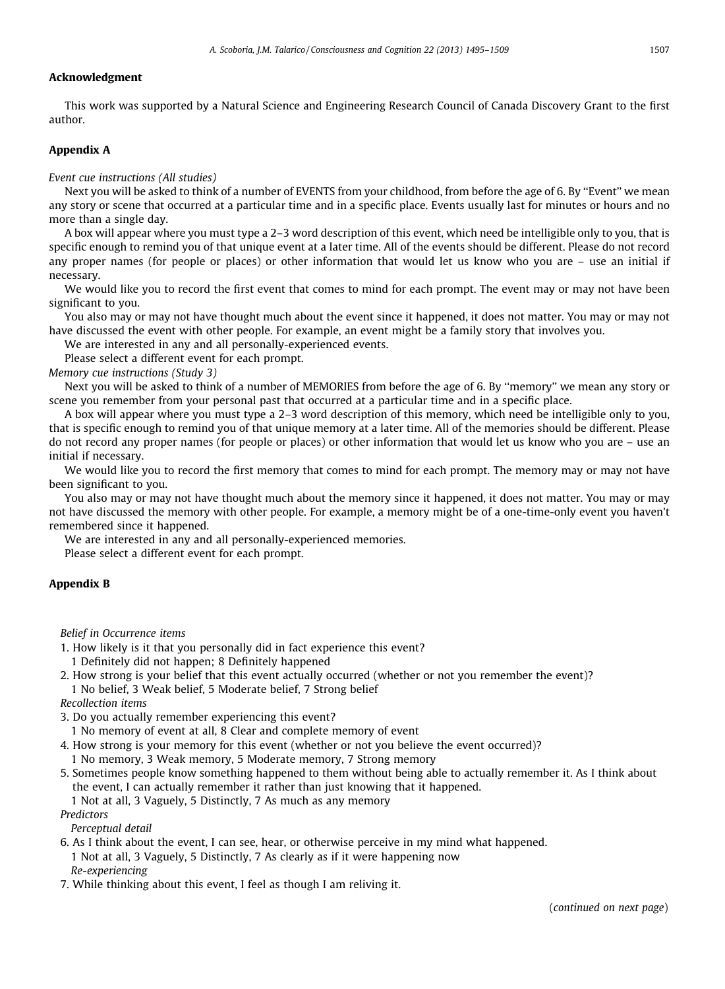## <span id="page-12-0"></span>Acknowledgment

This work was supported by a Natural Science and Engineering Research Council of Canada Discovery Grant to the first author.

# Appendix A

Event cue instructions (All studies)

Next you will be asked to think of a number of EVENTS from your childhood, from before the age of 6. By ''Event'' we mean any story or scene that occurred at a particular time and in a specific place. Events usually last for minutes or hours and no more than a single day.

A box will appear where you must type a 2–3 word description of this event, which need be intelligible only to you, that is specific enough to remind you of that unique event at a later time. All of the events should be different. Please do not record any proper names (for people or places) or other information that would let us know who you are – use an initial if necessary.

We would like you to record the first event that comes to mind for each prompt. The event may or may not have been significant to you.

You also may or may not have thought much about the event since it happened, it does not matter. You may or may not have discussed the event with other people. For example, an event might be a family story that involves you.

We are interested in any and all personally-experienced events.

Please select a different event for each prompt.

Memory cue instructions (Study 3)

Next you will be asked to think of a number of MEMORIES from before the age of 6. By ''memory'' we mean any story or scene you remember from your personal past that occurred at a particular time and in a specific place.

A box will appear where you must type a 2–3 word description of this memory, which need be intelligible only to you, that is specific enough to remind you of that unique memory at a later time. All of the memories should be different. Please do not record any proper names (for people or places) or other information that would let us know who you are – use an initial if necessary.

We would like you to record the first memory that comes to mind for each prompt. The memory may or may not have been significant to you.

You also may or may not have thought much about the memory since it happened, it does not matter. You may or may not have discussed the memory with other people. For example, a memory might be of a one-time-only event you haven't remembered since it happened.

We are interested in any and all personally-experienced memories.

Please select a different event for each prompt.

# Appendix B

#### Belief in Occurrence items

- 1. How likely is it that you personally did in fact experience this event?
- 1 Definitely did not happen; 8 Definitely happened
- 2. How strong is your belief that this event actually occurred (whether or not you remember the event)?
- 1 No belief, 3 Weak belief, 5 Moderate belief, 7 Strong belief
- Recollection items
- 3. Do you actually remember experiencing this event?
- 1 No memory of event at all, 8 Clear and complete memory of event
- 4. How strong is your memory for this event (whether or not you believe the event occurred)?
- 1 No memory, 3 Weak memory, 5 Moderate memory, 7 Strong memory
- 5. Sometimes people know something happened to them without being able to actually remember it. As I think about the event, I can actually remember it rather than just knowing that it happened.

1 Not at all, 3 Vaguely, 5 Distinctly, 7 As much as any memory

Predictors

Perceptual detail

- 6. As I think about the event, I can see, hear, or otherwise perceive in my mind what happened.
- 1 Not at all, 3 Vaguely, 5 Distinctly, 7 As clearly as if it were happening now Re-experiencing
- 7. While thinking about this event, I feel as though I am reliving it.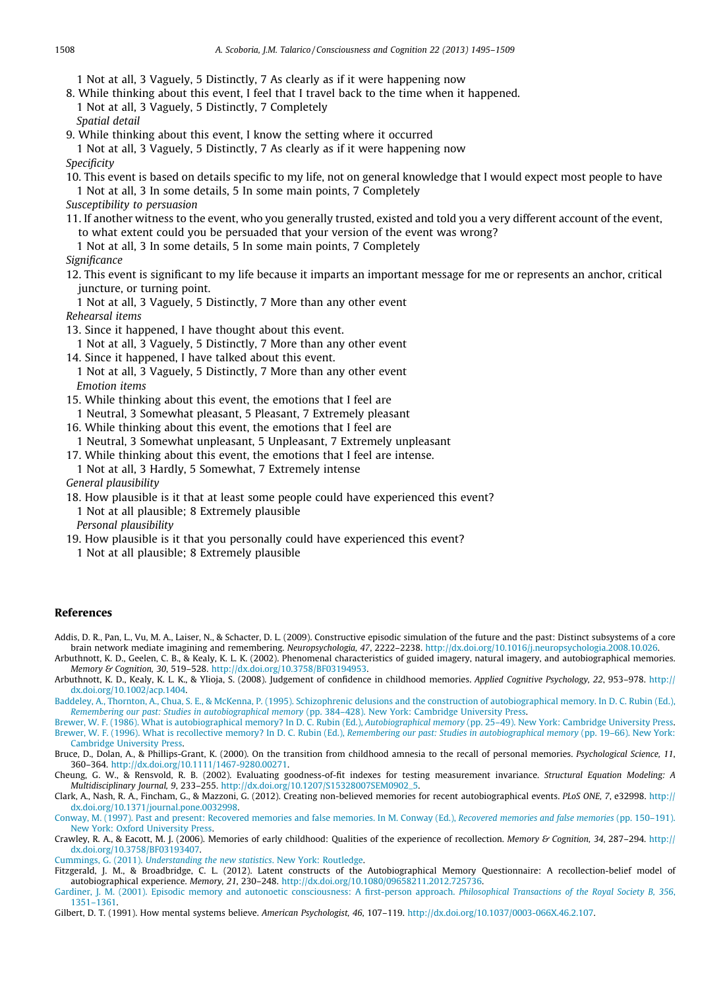- <span id="page-13-0"></span>1 Not at all, 3 Vaguely, 5 Distinctly, 7 As clearly as if it were happening now
- 8. While thinking about this event, I feel that I travel back to the time when it happened. 1 Not at all, 3 Vaguely, 5 Distinctly, 7 Completely
- Spatial detail
- 9. While thinking about this event, I know the setting where it occurred
- 1 Not at all, 3 Vaguely, 5 Distinctly, 7 As clearly as if it were happening now Specificity
- 10. This event is based on details specific to my life, not on general knowledge that I would expect most people to have 1 Not at all, 3 In some details, 5 In some main points, 7 Completely
- 
- Susceptibility to persuasion
- 11. If another witness to the event, who you generally trusted, existed and told you a very different account of the event, to what extent could you be persuaded that your version of the event was wrong?
- 1 Not at all, 3 In some details, 5 In some main points, 7 Completely

Significance

- 12. This event is significant to my life because it imparts an important message for me or represents an anchor, critical juncture, or turning point.
- 1 Not at all, 3 Vaguely, 5 Distinctly, 7 More than any other event Rehearsal items
- 13. Since it happened, I have thought about this event.
- 1 Not at all, 3 Vaguely, 5 Distinctly, 7 More than any other event 14. Since it happened, I have talked about this event.
	- 1 Not at all, 3 Vaguely, 5 Distinctly, 7 More than any other event Emotion items
- 15. While thinking about this event, the emotions that I feel are
- 1 Neutral, 3 Somewhat pleasant, 5 Pleasant, 7 Extremely pleasant
- 16. While thinking about this event, the emotions that I feel are
- 1 Neutral, 3 Somewhat unpleasant, 5 Unpleasant, 7 Extremely unpleasant
- 17. While thinking about this event, the emotions that I feel are intense. 1 Not at all, 3 Hardly, 5 Somewhat, 7 Extremely intense
- General plausibility

18. How plausible is it that at least some people could have experienced this event? 1 Not at all plausible; 8 Extremely plausible

Personal plausibility

19. How plausible is it that you personally could have experienced this event?

1 Not at all plausible; 8 Extremely plausible

#### References

- Addis, D. R., Pan, L., Vu, M. A., Laiser, N., & Schacter, D. L. (2009). Constructive episodic simulation of the future and the past: Distinct subsystems of a core brain network mediate imagining and remembering. Neuropsychologia, 47, 2222–2238. <http://dx.doi.org/10.1016/j.neuropsychologia.2008.10.026>.
- Arbuthnott, K. D., Geelen, C. B., & Kealy, K. L. K. (2002). Phenomenal characteristics of guided imagery, natural imagery, and autobiographical memories. Memory & Cognition, 30, 519–528. <http://dx.doi.org/10.3758/BF03194953>.
- Arbuthnott, K. D., Kealy, K. L. K., & Ylioja, S. (2008). Judgement of confidence in childhood memories. Applied Cognitive Psychology, 22, 953–978. [http://](http://dx.doi.org/10.1002/acp.1404) [dx.doi.org/10.1002/acp.1404](http://dx.doi.org/10.1002/acp.1404).
- [Baddeley, A., Thornton, A., Chua, S. E., & McKenna, P. \(1995\). Schizophrenic delusions and the construction of autobiographical memory. In D. C. Rubin \(Ed.\),](http://refhub.elsevier.com/S1053-8100(13)00134-7/h0015) [Remembering our past: Studies in autobiographical memory](http://refhub.elsevier.com/S1053-8100(13)00134-7/h0015) (pp. 384–428). New York: Cambridge University Press.
- [Brewer, W. F. \(1986\). What is autobiographical memory? In D. C. Rubin \(Ed.\),](http://refhub.elsevier.com/S1053-8100(13)00134-7/h0020) Autobiographical memory (pp. 25–49). New York: Cambridge University Press. [Brewer, W. F. \(1996\). What is recollective memory? In D. C. Rubin \(Ed.\),](http://refhub.elsevier.com/S1053-8100(13)00134-7/h0025) Remembering our past: Studies in autobiographical memory (pp. 19–66). New York: [Cambridge University Press.](http://refhub.elsevier.com/S1053-8100(13)00134-7/h0025)
- Bruce, D., Dolan, A., & Phillips-Grant, K. (2000). On the transition from childhood amnesia to the recall of personal memories. Psychological Science, 11, 360–364. [http://dx.doi.org/10.1111/1467-9280.00271.](http://dx.doi.org/10.1111/1467-9280.00271)
- Cheung, G. W., & Rensvold, R. B. (2002). Evaluating goodness-of-fit indexes for testing measurement invariance. Structural Equation Modeling: A Multidisciplinary Journal, 9, 233–255. [http://dx.doi.org/10.1207/S15328007SEM0902\\_5](http://dx.doi.org/10.1207/S15328007SEM0902_5).
- Clark, A., Nash, R. A., Fincham, G., & Mazzoni, G. (2012). Creating non-believed memories for recent autobiographical events. PLoS ONE, 7, e32998. [http://](http://dx.doi.org/10.1371/journal.pone.0032998) [dx.doi.org/10.1371/journal.pone.0032998](http://dx.doi.org/10.1371/journal.pone.0032998).
- [Conway, M. \(1997\). Past and present: Recovered memories and false memories. In M. Conway \(Ed.\),](http://refhub.elsevier.com/S1053-8100(13)00134-7/h0045) Recovered memories and false memories (pp. 150–191). [New York: Oxford University Press](http://refhub.elsevier.com/S1053-8100(13)00134-7/h0045).
- Crawley, R. A., & Eacott, M. J. (2006). Memories of early childhood: Qualities of the experience of recollection. Memory & Cognition, 34, 287–294. [http://](http://dx.doi.org/10.3758/BF03193407) [dx.doi.org/10.3758/BF03193407.](http://dx.doi.org/10.3758/BF03193407)

Cummings, G. (2011). [Understanding the new statistics](http://refhub.elsevier.com/S1053-8100(13)00134-7/h0055). New York: Routledge.

- Fitzgerald, J. M., & Broadbridge, C. L. (2012). Latent constructs of the Autobiographical Memory Questionnaire: A recollection-belief model of autobiographical experience. Memory, 21, 230–248. [http://dx.doi.org/10.1080/09658211.2012.725736.](http://dx.doi.org/10.1080/09658211.2012.725736)
- [Gardiner, J. M. \(2001\). Episodic memory and autonoetic consciousness: A first-person approach.](http://refhub.elsevier.com/S1053-8100(13)00134-7/h0065) Philosophical Transactions of the Royal Society B, 356, [1351–1361](http://refhub.elsevier.com/S1053-8100(13)00134-7/h0065).

Gilbert, D. T. (1991). How mental systems believe. American Psychologist, 46, 107–119. [http://dx.doi.org/10.1037/0003-066X.46.2.107.](http://dx.doi.org/10.1037/0003-066X.46.2.107)